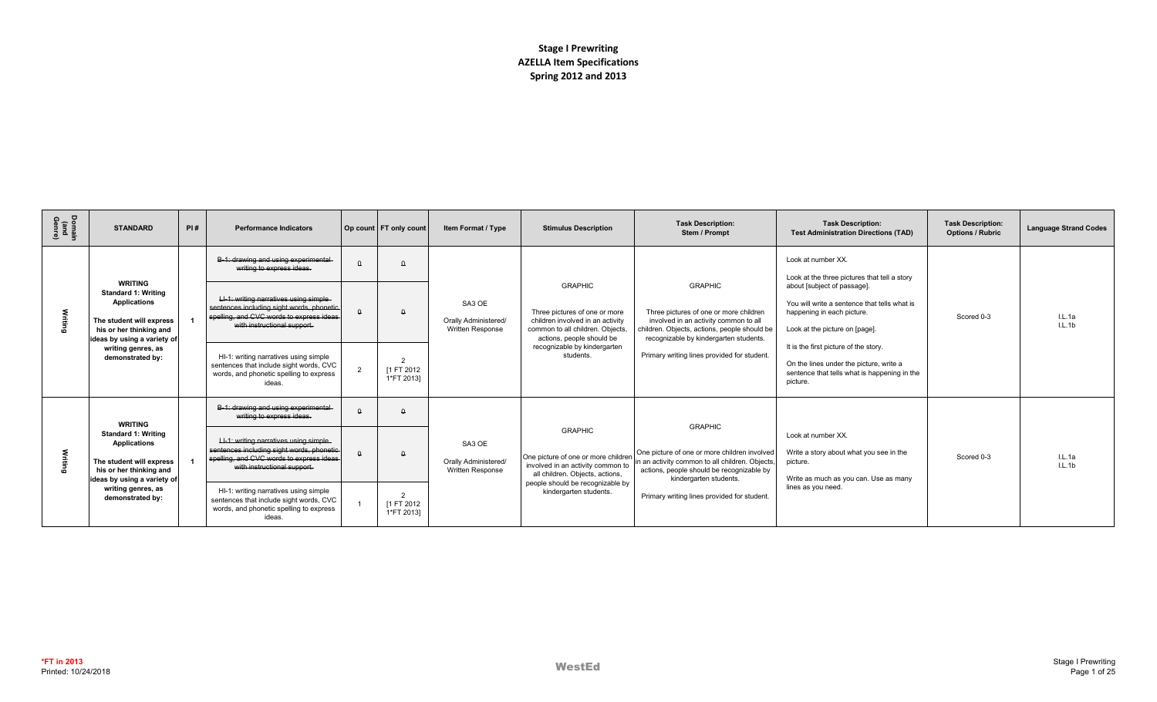| Domain<br>(and<br>Genre) | <b>STANDARD</b>                                                                                                                                           | PI# | <b>Performance Indicators</b>                                                                                                                                  |          | Op count FT only count    | Item Format / Type                                               | <b>Stimulus Description</b>                                                                                                                          | <b>Task Description:</b><br>Stem / Prompt                                                                                                                                                   | <b>Task Description:</b><br><b>Test Administration Directions (TAD)</b>                                                                      | <b>Task Description:</b><br><b>Options / Rubric</b> | <b>Language Strand Codes</b> |
|--------------------------|-----------------------------------------------------------------------------------------------------------------------------------------------------------|-----|----------------------------------------------------------------------------------------------------------------------------------------------------------------|----------|---------------------------|------------------------------------------------------------------|------------------------------------------------------------------------------------------------------------------------------------------------------|---------------------------------------------------------------------------------------------------------------------------------------------------------------------------------------------|----------------------------------------------------------------------------------------------------------------------------------------------|-----------------------------------------------------|------------------------------|
|                          |                                                                                                                                                           |     | B-1: drawing and using experimental<br>writing to express ideas.                                                                                               | $\Omega$ |                           |                                                                  |                                                                                                                                                      |                                                                                                                                                                                             | Look at number XX.<br>Look at the three pictures that tell a story                                                                           |                                                     |                              |
|                          | <b>WRITING</b><br><b>Standard 1: Writing</b><br><b>Applications</b><br>The student will express<br>his or her thinking and<br>ideas by using a variety of |     | LI-1: writing narratives using simple-<br>sentences including sight words, phonetic<br>spelling, and CVC words to express ideas<br>with instructional support. |          |                           | SA3 OE<br><b>Orally Administered/</b><br><b>Written Response</b> | <b>GRAPHIC</b><br>Three pictures of one or more<br>children involved in an activity<br>common to all children. Objects.<br>actions, people should be | <b>GRAPHIC</b><br>Three pictures of one or more children<br>involved in an activity common to all<br>children. Objects, actions, people should be<br>recognizable by kindergarten students. | about [subject of passage].<br>You will write a sentence that tells what is<br>happening in each picture.<br>Look at the picture on [page].  | Scored 0-3                                          | IL.1a<br>IL.1b               |
|                          | writing genres, as<br>demonstrated by:                                                                                                                    |     | HI-1: writing narratives using simple<br>sentences that include sight words, CVC<br>words, and phonetic spelling to express<br>ideas.                          | 2        | [1 FT 2012<br>1*FT 2013]  |                                                                  | recognizable by kindergarten<br>students.                                                                                                            | Primary writing lines provided for student.                                                                                                                                                 | It is the first picture of the story.<br>On the lines under the picture, write a<br>sentence that tells what is happening in the<br>picture. |                                                     |                              |
|                          | <b>WRITING</b>                                                                                                                                            |     | B-1: drawing and using experimental-<br>writing to express ideas.                                                                                              | $\theta$ |                           |                                                                  |                                                                                                                                                      | <b>GRAPHIC</b>                                                                                                                                                                              |                                                                                                                                              |                                                     |                              |
|                          | <b>Standard 1: Writing</b><br><b>Applications</b><br>The student will express<br>his or her thinking and<br>ideas by using a variety of                   |     | LI-1: writing narratives using simple-<br>sentences including sight words, phonetic<br>spelling, and CVC words to express ideas<br>with instructional support. |          |                           | SA3 OE<br><b>Orally Administered/</b><br>Written Response        | <b>GRAPHIC</b><br>One picture of one or more childrer<br>involved in an activity common to<br>all children. Objects, actions,                        | One picture of one or more children involved<br>in an activity common to all children. Objects<br>actions, people should be recognizable by<br>kindergarten students.                       | Look at number XX.<br>Write a story about what you see in the<br>picture.<br>Write as much as you can. Use as many                           | Scored 0-3                                          | IL.1a<br>IL.1b               |
|                          | writing genres, as<br>demonstrated by:                                                                                                                    |     | HI-1: writing narratives using simple<br>sentences that include sight words, CVC<br>words, and phonetic spelling to express<br>ideas.                          |          | [1 FT 2012]<br>1*FT 2013] |                                                                  | people should be recognizable by<br>kindergarten students.                                                                                           | Primary writing lines provided for student.                                                                                                                                                 | lines as you need.                                                                                                                           |                                                     |                              |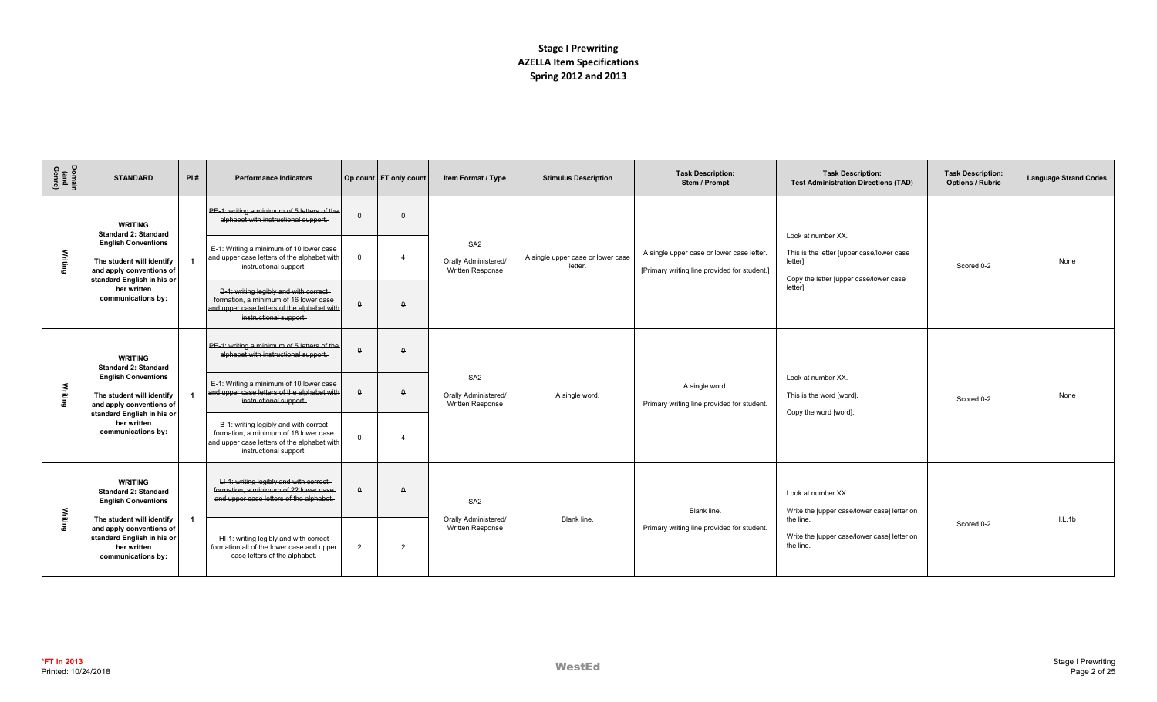| Domain<br>(and<br>Genre) | <b>STANDARD</b>                                                                                                                                                                                                           | PI# | <b>Performance Indicators</b>                                                                                                                            |                | Op count   FT only count | Item Format / Type                                          | <b>Stimulus Description</b>                  | <b>Task Description:</b><br>Stem / Prompt                                                 | <b>Task Description:</b><br><b>Test Administration Directions (TAD)</b>                                               | <b>Task Description:</b><br><b>Options / Rubric</b> | <b>Language Strand Codes</b> |
|--------------------------|---------------------------------------------------------------------------------------------------------------------------------------------------------------------------------------------------------------------------|-----|----------------------------------------------------------------------------------------------------------------------------------------------------------|----------------|--------------------------|-------------------------------------------------------------|----------------------------------------------|-------------------------------------------------------------------------------------------|-----------------------------------------------------------------------------------------------------------------------|-----------------------------------------------------|------------------------------|
|                          | <b>WRITING</b><br><b>Standard 2: Standard</b>                                                                                                                                                                             |     | PE-1: writing a minimum of 5 letters of the<br>alphabet with instructional support.                                                                      | $\theta$       | $\Omega$                 |                                                             |                                              |                                                                                           |                                                                                                                       |                                                     |                              |
| Writing                  | <b>English Conventions</b><br>The student will identify<br>and apply conventions of<br>standard English in his or                                                                                                         |     | E-1: Writing a minimum of 10 lower case<br>and upper case letters of the alphabet with<br>instructional support.                                         | $\mathbf 0$    | $\overline{4}$           | SA <sub>2</sub><br>Orally Administered/<br>Written Response | A single upper case or lower case<br>letter. | A single upper case or lower case letter.<br>[Primary writing line provided for student.] | Look at number XX.<br>This is the letter [upper case/lower case<br>letter].<br>Copy the letter [upper case/lower case | Scored 0-2                                          | None                         |
|                          | her written<br>communications by:                                                                                                                                                                                         |     | B-1: writing legibly and with correct-<br>formation, a minimum of 16 lower case<br>and upper case letters of the alphabet with<br>instructional support. | $\Omega$       | $\Omega$                 |                                                             |                                              |                                                                                           | letter <sub>1</sub>                                                                                                   |                                                     |                              |
|                          | <b>WRITING</b><br><b>Standard 2: Standard</b><br><b>English Conventions</b><br>The student will identify<br>and apply conventions of<br>standard English in his or<br>her written<br>communications by:                   |     | PE-1: writing a minimum of 5 letters of the<br>alphabet with instructional support.                                                                      | $\theta$       | $\Omega$                 | SA <sub>2</sub><br>Orally Administered/<br>Written Response |                                              |                                                                                           |                                                                                                                       |                                                     |                              |
| Writing                  |                                                                                                                                                                                                                           |     | E-1: Writing a minimum of 10 lower case<br>and upper case letters of the alphabet with<br>instructional support.                                         | $\Omega$       | $\Omega$                 |                                                             | A single word.                               | A single word.<br>Primary writing line provided for student.                              | Look at number XX.<br>This is the word [word].<br>Copy the word [word].                                               | Scored 0-2                                          | None                         |
|                          |                                                                                                                                                                                                                           |     | B-1: writing legibly and with correct<br>formation, a minimum of 16 lower case<br>and upper case letters of the alphabet with<br>instructional support.  | $\Omega$       | $\boldsymbol{\Lambda}$   |                                                             |                                              |                                                                                           |                                                                                                                       |                                                     |                              |
|                          | <b>WRITING</b><br><b>Standard 2: Standard</b><br><b>English Conventions</b><br>The student will identify<br>$\overline{1}$<br>and apply conventions of<br>standard English in his or<br>her written<br>communications by: |     | LI-1: writing legibly and with correct<br>formation, a minimum of 22 lower case<br>and upper case letters of the alphabet.                               | $\Omega$       | $\Omega$                 | SA <sub>2</sub><br>Orally Administered/<br>Written Response |                                              | Blank line.                                                                               | Look at number XX.<br>Write the [upper case/lower case] letter on                                                     |                                                     |                              |
| Writing                  |                                                                                                                                                                                                                           |     | HI-1: writing legibly and with correct<br>formation all of the lower case and upper<br>case letters of the alphabet.                                     | $\overline{2}$ | 2                        |                                                             | Blank line.                                  | Primary writing line provided for student.                                                | the line.<br>Write the [upper case/lower case] letter on<br>the line.                                                 | Scored 0-2                                          | IL.1b                        |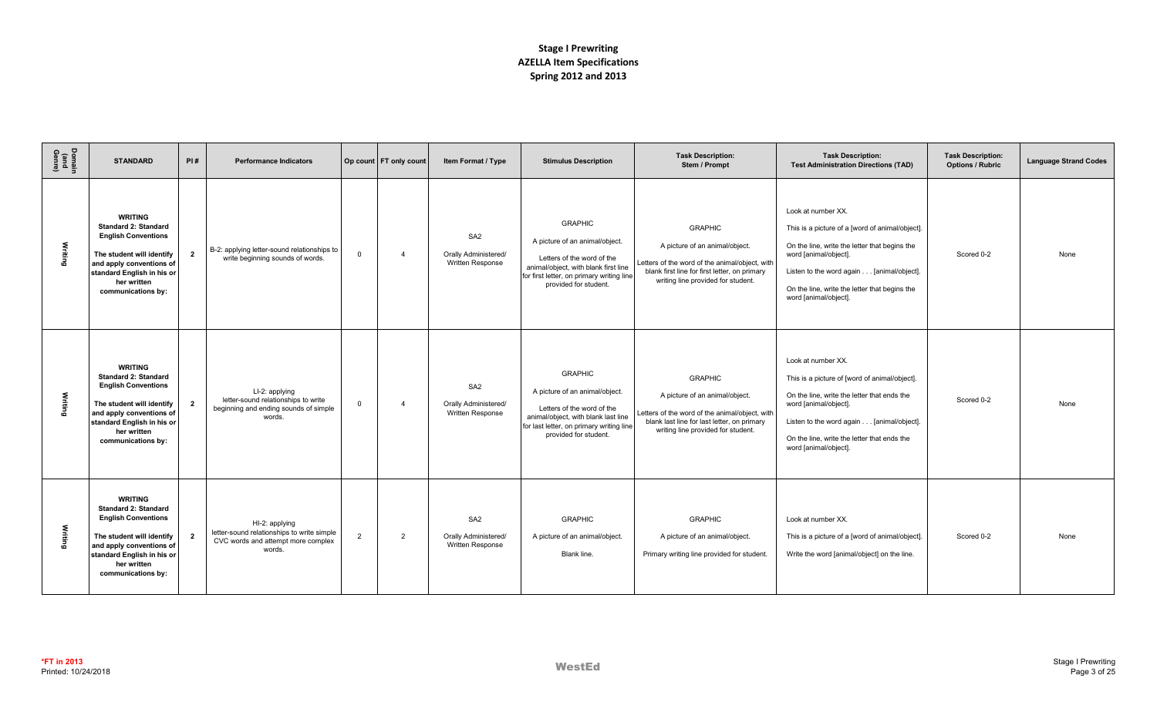| Domain<br>(and<br>Genre) | <b>STANDARD</b>                                                                                                                                                                                         | PI#            | <b>Performance Indicators</b>                                                                                |                | Op count FT only count | Item Format / Type                                                 | <b>Stimulus Description</b>                                                                                                                                                                  | <b>Task Description:</b><br>Stem / Prompt                                                                                                                                                 | <b>Task Description:</b><br><b>Test Administration Directions (TAD)</b>                                                                                                                                                                                                | <b>Task Description:</b><br><b>Options / Rubric</b> | <b>Language Strand Codes</b> |
|--------------------------|---------------------------------------------------------------------------------------------------------------------------------------------------------------------------------------------------------|----------------|--------------------------------------------------------------------------------------------------------------|----------------|------------------------|--------------------------------------------------------------------|----------------------------------------------------------------------------------------------------------------------------------------------------------------------------------------------|-------------------------------------------------------------------------------------------------------------------------------------------------------------------------------------------|------------------------------------------------------------------------------------------------------------------------------------------------------------------------------------------------------------------------------------------------------------------------|-----------------------------------------------------|------------------------------|
| Writing                  | <b>WRITING</b><br><b>Standard 2: Standard</b><br><b>English Conventions</b><br>The student will identify<br>and apply conventions of<br>standard English in his or<br>her written<br>communications by: | $\overline{2}$ | B-2: applying letter-sound relationships to<br>write beginning sounds of words.                              | $\mathbf 0$    |                        | SA <sub>2</sub><br>Orally Administered/<br><b>Written Response</b> | <b>GRAPHIC</b><br>A picture of an animal/object.<br>Letters of the word of the<br>animal/object, with blank first line<br>for first letter, on primary writing line<br>provided for student. | <b>GRAPHIC</b><br>A picture of an animal/object.<br>Letters of the word of the animal/object, with<br>blank first line for first letter, on primary<br>writing line provided for student. | Look at number XX.<br>This is a picture of a [word of animal/object].<br>On the line, write the letter that begins the<br>word [animal/object].<br>Listen to the word again [animal/object].<br>On the line, write the letter that begins the<br>word [animal/object]. | Scored 0-2                                          | None                         |
| Writing                  | <b>WRITING</b><br><b>Standard 2: Standard</b><br><b>English Conventions</b><br>The student will identify<br>and apply conventions of<br>standard English in his or<br>her written<br>communications by: | $\overline{2}$ | LI-2: applying<br>letter-sound relationships to write<br>beginning and ending sounds of simple<br>words.     | $\mathbf{0}$   | $\Delta$               | SA <sub>2</sub><br>Orally Administered/<br><b>Written Response</b> | <b>GRAPHIC</b><br>A picture of an animal/object.<br>Letters of the word of the<br>animal/object, with blank last line<br>for last letter, on primary writing line<br>provided for student.   | <b>GRAPHIC</b><br>A picture of an animal/object.<br>Letters of the word of the animal/object, with<br>blank last line for last letter, on primary<br>writing line provided for student.   | Look at number XX.<br>This is a picture of [word of animal/object].<br>On the line, write the letter that ends the<br>word [animal/object].<br>Listen to the word again [animal/object].<br>On the line, write the letter that ends the<br>word [animal/object].       | Scored 0-2                                          | None                         |
| Writing                  | <b>WRITING</b><br><b>Standard 2: Standard</b><br><b>English Conventions</b><br>The student will identify<br>and apply conventions of<br>standard English in his or<br>her written<br>communications by: | $\overline{2}$ | HI-2: applying<br>letter-sound relationships to write simple<br>CVC words and attempt more complex<br>words. | $\overline{2}$ | 2                      | SA <sub>2</sub><br>Orally Administered/<br>Written Response        | <b>GRAPHIC</b><br>A picture of an animal/object.<br>Blank line.                                                                                                                              | <b>GRAPHIC</b><br>A picture of an animal/object.<br>Primary writing line provided for student.                                                                                            | Look at number XX.<br>This is a picture of a [word of animal/object].<br>Write the word [animal/object] on the line.                                                                                                                                                   | Scored 0-2                                          | None                         |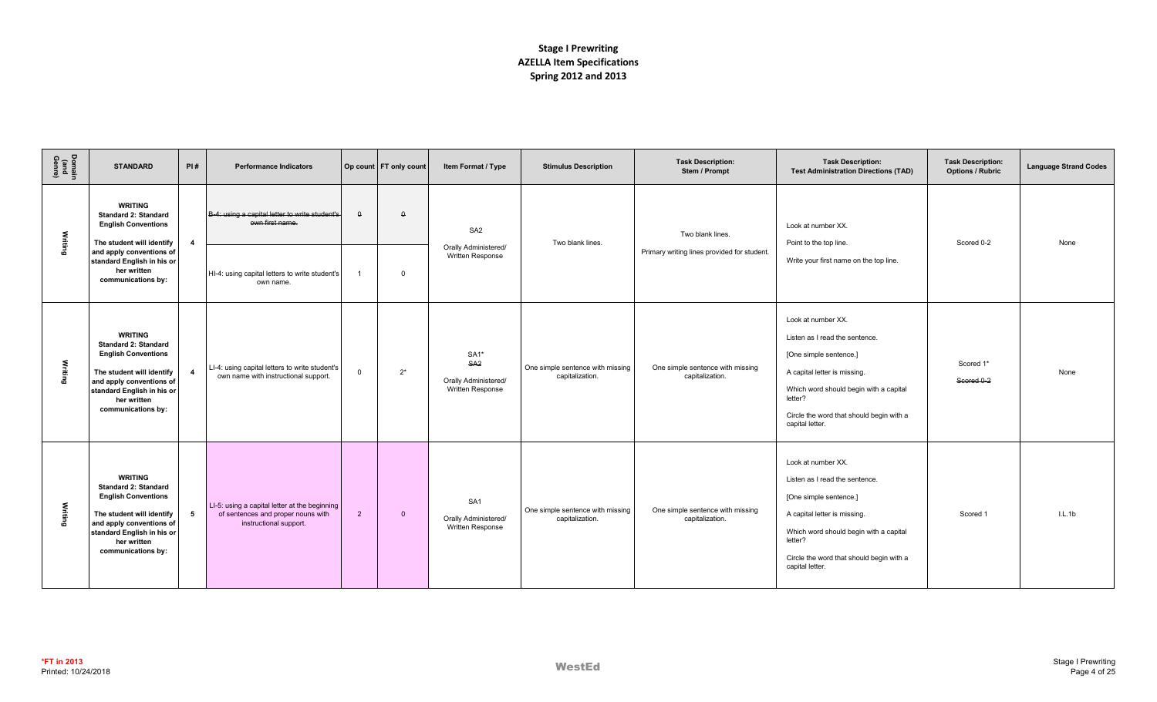| Domain<br>(and<br>Genre) | <b>STANDARD</b>                                                                                                                                                                                         | PI#          | <b>Performance Indicators</b>                                                                                 |                | Op count   FT only count | Item Format / Type                                                    | <b>Stimulus Description</b>                         | <b>Task Description:</b><br>Stem / Prompt           | <b>Task Description:</b><br><b>Test Administration Directions (TAD)</b>                                                                                                                                                            | <b>Task Description:</b><br><b>Options / Rubric</b> | <b>Language Strand Codes</b> |
|--------------------------|---------------------------------------------------------------------------------------------------------------------------------------------------------------------------------------------------------|--------------|---------------------------------------------------------------------------------------------------------------|----------------|--------------------------|-----------------------------------------------------------------------|-----------------------------------------------------|-----------------------------------------------------|------------------------------------------------------------------------------------------------------------------------------------------------------------------------------------------------------------------------------------|-----------------------------------------------------|------------------------------|
| Writing                  | <b>WRITING</b><br><b>Standard 2: Standard</b><br><b>English Conventions</b><br>The student will identify                                                                                                | 4            | B-4: using a capital letter to write student's<br>own first name.                                             | $\Omega$       | $\Omega$                 | SA <sub>2</sub>                                                       | Two blank lines.                                    | Two blank lines.                                    | Look at number XX.<br>Point to the top line.                                                                                                                                                                                       | Scored 0-2                                          | None                         |
|                          | and apply conventions of<br>standard English in his or<br>her written<br>communications by:                                                                                                             |              | HI-4: using capital letters to write student's<br>own name.                                                   | $\overline{1}$ | $\Omega$                 | Orally Administered/<br>Written Response                              |                                                     | Primary writing lines provided for student.         | Write your first name on the top line.                                                                                                                                                                                             |                                                     |                              |
| Writing                  | <b>WRITING</b><br><b>Standard 2: Standard</b><br><b>English Conventions</b><br>The student will identify<br>and apply conventions of<br>standard English in his or<br>her written<br>communications by: | $\mathbf{A}$ | LI-4: using capital letters to write student's<br>own name with instructional support.                        | $\mathbf 0$    | $2^*$                    | $SA1*$<br>SA <sub>2</sub><br>Orally Administered/<br>Written Response | One simple sentence with missing<br>capitalization. | One simple sentence with missing<br>capitalization. | Look at number XX.<br>Listen as I read the sentence.<br>[One simple sentence.]<br>A capital letter is missing.<br>Which word should begin with a capital<br>letter?<br>Circle the word that should begin with a<br>capital letter. | Scored 1*<br>Scored 0-2                             | None                         |
| Writing                  | <b>WRITING</b><br><b>Standard 2: Standard</b><br><b>English Conventions</b><br>The student will identify<br>and apply conventions of<br>standard English in his or<br>her written<br>communications by: | 5            | LI-5: using a capital letter at the beginning<br>of sentences and proper nouns with<br>instructional support. | $\overline{2}$ | $\overline{0}$           | SA <sub>1</sub><br>Orally Administered/<br>Written Response           | One simple sentence with missing<br>capitalization. | One simple sentence with missing<br>capitalization. | Look at number XX.<br>Listen as I read the sentence.<br>[One simple sentence.]<br>A capital letter is missing.<br>Which word should begin with a capital<br>letter?<br>Circle the word that should begin with a<br>capital letter. | Scored 1                                            | IL.1b                        |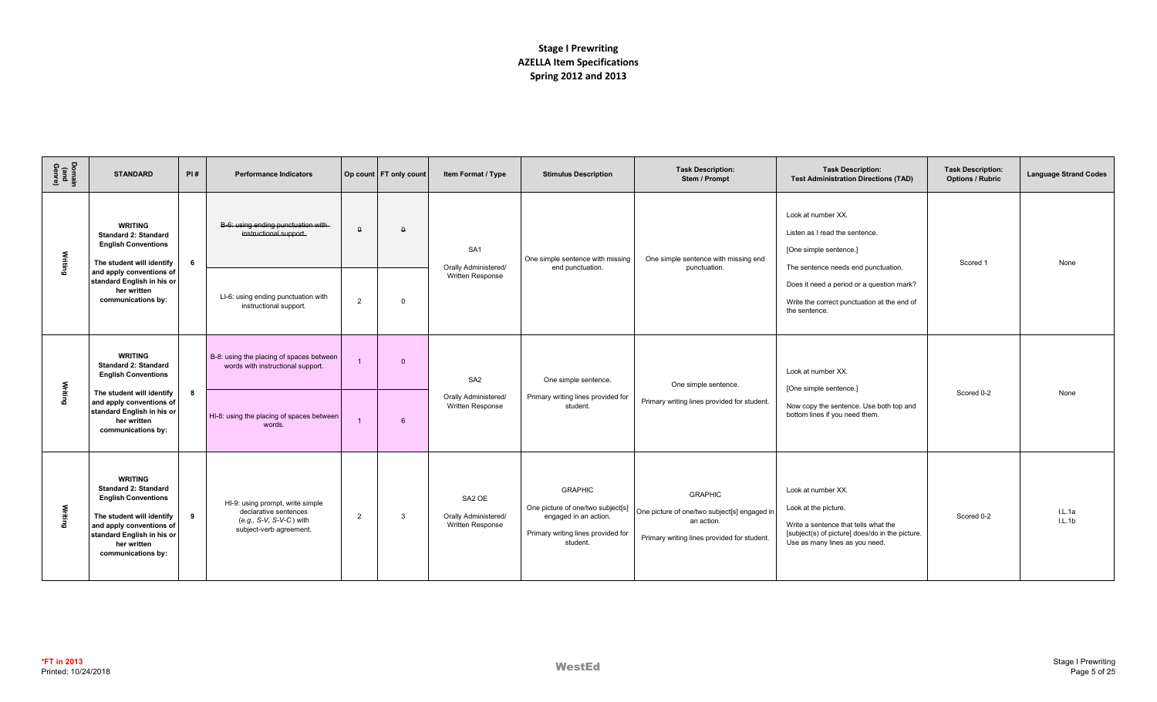| Domain<br>(and<br>Genre) | <b>STANDARD</b>                                                                                                                                                                                              | PI#                                                                           | <b>Performance Indicators</b>                                                                                   |                | Op count FT only count | Item Format / Type                                                    | <b>Stimulus Description</b>                                                                                                    | <b>Task Description:</b><br>Stem / Prompt                                                                                   | <b>Task Description:</b><br><b>Test Administration Directions (TAD)</b>                                                                                                 | <b>Task Description:</b><br><b>Options / Rubric</b> | <b>Language Strand Codes</b> |
|--------------------------|--------------------------------------------------------------------------------------------------------------------------------------------------------------------------------------------------------------|-------------------------------------------------------------------------------|-----------------------------------------------------------------------------------------------------------------|----------------|------------------------|-----------------------------------------------------------------------|--------------------------------------------------------------------------------------------------------------------------------|-----------------------------------------------------------------------------------------------------------------------------|-------------------------------------------------------------------------------------------------------------------------------------------------------------------------|-----------------------------------------------------|------------------------------|
| Writing                  | <b>WRITING</b><br><b>Standard 2: Standard</b><br><b>English Conventions</b><br>The student will identify<br>and apply conventions of<br>standard English in his or<br>her written                            | 6                                                                             | B-6: using ending punctuation with<br>instructional support.                                                    | $\theta$       | $\theta$               | SA <sub>1</sub><br><b>Orally Administered/</b><br>Written Response    | One simple sentence with missing<br>end punctuation.                                                                           | One simple sentence with missing end<br>punctuation.                                                                        | Look at number XX.<br>Listen as I read the sentence.<br>[One simple sentence.]<br>The sentence needs end punctuation.<br>Does it need a period or a question mark?      | Scored 1                                            | None                         |
|                          | communications by:                                                                                                                                                                                           |                                                                               | LI-6: using ending punctuation with<br>instructional support.                                                   | $\overline{2}$ | $\Omega$               |                                                                       |                                                                                                                                |                                                                                                                             | Write the correct punctuation at the end of<br>the sentence.                                                                                                            |                                                     |                              |
| Writing                  | <b>WRITING</b><br><b>Standard 2: Standard</b><br><b>English Conventions</b><br>The student will identify<br>8<br>and apply conventions of<br>standard English in his or<br>her written<br>communications by: | B-8: using the placing of spaces between<br>words with instructional support. |                                                                                                                 | $\Omega$       | SA <sub>2</sub>        | One simple sentence.                                                  | One simple sentence.                                                                                                           | Look at number XX.<br>[One simple sentence.]                                                                                |                                                                                                                                                                         |                                                     |                              |
|                          |                                                                                                                                                                                                              |                                                                               | HI-8: using the placing of spaces between<br>words.                                                             |                | 6                      | Orally Administered/<br>Written Response                              | Primary writing lines provided for<br>student.                                                                                 | Primary writing lines provided for student.                                                                                 | Now copy the sentence. Use both top and<br>bottom lines if you need them.                                                                                               | Scored 0-2                                          | None                         |
| Writing                  | <b>WRITING</b><br><b>Standard 2: Standard</b><br><b>English Conventions</b><br>The student will identify<br>and apply conventions of<br>standard English in his or<br>her written<br>communications by:      | 9                                                                             | HI-9: using prompt, write simple<br>declarative sentences<br>(e.g., S-V, S-V-C) with<br>subject-verb agreement. | 2              | $\mathbf{3}$           | SA <sub>2</sub> OE<br><b>Orally Administered/</b><br>Written Response | <b>GRAPHIC</b><br>One picture of one/two subject[s]<br>engaged in an action.<br>Primary writing lines provided for<br>student. | <b>GRAPHIC</b><br>One picture of one/two subject[s] engaged in<br>an action.<br>Primary writing lines provided for student. | Look at number XX.<br>Look at the picture.<br>Write a sentence that tells what the<br>[subject(s) of picture] does/do in the picture.<br>Use as many lines as you need. | Scored 0-2                                          | IL.1a<br>L.L.1b              |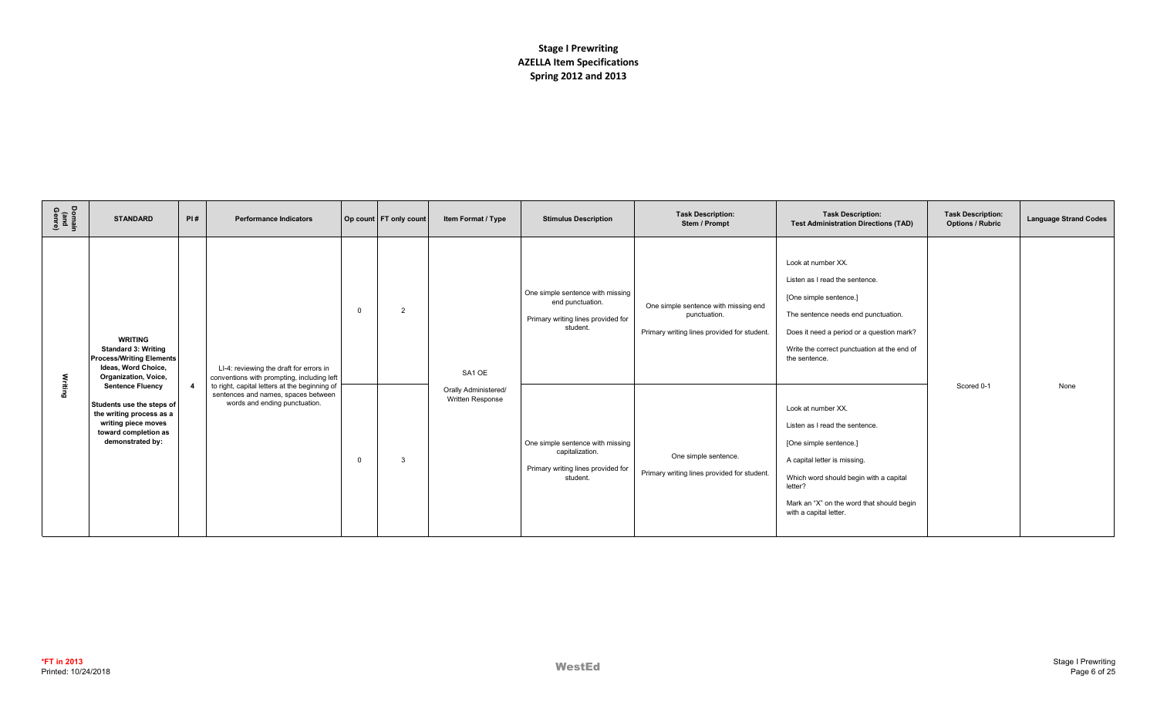| Domain<br>(and<br>Genre) | <b>STANDARD</b>                                                                                                                                     | PI#            | <b>Performance Indicators</b>                                                                                         |          | Op count FT only count | Item Format / Type                       | <b>Stimulus Description</b>                                                                            | <b>Task Description:</b><br>Stem / Prompt                                                           | <b>Task Description:</b><br><b>Test Administration Directions (TAD)</b>                                                                                                                                                                    | <b>Task Description:</b><br><b>Options / Rubric</b> | <b>Language Strand Codes</b> |
|--------------------------|-----------------------------------------------------------------------------------------------------------------------------------------------------|----------------|-----------------------------------------------------------------------------------------------------------------------|----------|------------------------|------------------------------------------|--------------------------------------------------------------------------------------------------------|-----------------------------------------------------------------------------------------------------|--------------------------------------------------------------------------------------------------------------------------------------------------------------------------------------------------------------------------------------------|-----------------------------------------------------|------------------------------|
|                          | <b>WRITING</b><br><b>Standard 3: Writing</b><br><b>Process/Writing Elements</b><br>Ideas, Word Choice,<br>Organization, Voice,                      |                | LI-4: reviewing the draft for errors in<br>conventions with prompting, including left                                 | $\Omega$ | $\overline{2}$         | SA1 OE                                   | One simple sentence with missing<br>end punctuation.<br>Primary writing lines provided for<br>student. | One simple sentence with missing end<br>punctuation.<br>Primary writing lines provided for student. | Look at number XX.<br>Listen as I read the sentence.<br>[One simple sentence.]<br>The sentence needs end punctuation.<br>Does it need a period or a question mark?<br>Write the correct punctuation at the end of<br>the sentence.         |                                                     |                              |
| Writing                  | <b>Sentence Fluency</b><br>Students use the steps of<br>the writing process as a<br>writing piece moves<br>toward completion as<br>demonstrated by: | $\overline{4}$ | to right, capital letters at the beginning of<br>sentences and names, spaces between<br>words and ending punctuation. | $\Omega$ | $\mathcal{R}$          | Orally Administered/<br>Written Response | One simple sentence with missing<br>capitalization.<br>Primary writing lines provided for<br>student.  | One simple sentence.<br>Primary writing lines provided for student.                                 | Look at number XX.<br>Listen as I read the sentence.<br>[One simple sentence.]<br>A capital letter is missing.<br>Which word should begin with a capital<br>letter?<br>Mark an "X" on the word that should begin<br>with a capital letter. | Scored 0-1                                          | None                         |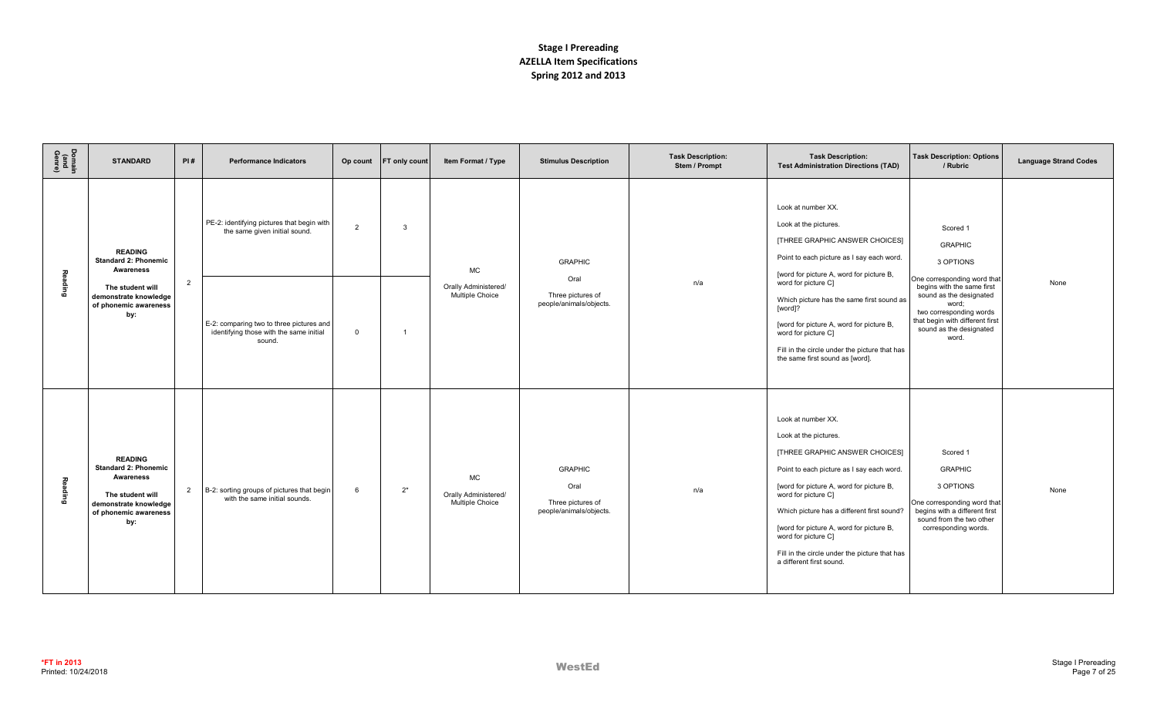| Domain<br>(and<br>Genre) | <b>STANDARD</b>                                                                                                                                | PI#            | <b>Performance Indicators</b>                                                                                                                                                | Op count                       | FT only count       | Item Format / Type                                   | <b>Stimulus Description</b>                                            | <b>Task Description:</b><br>Stem / Prompt | <b>Task Description:</b><br><b>Test Administration Directions (TAD)</b>                                                                                                                                                                                                                                                                                                                                      | <b>Task Description: Options</b><br>/ Rubric                                                                                                                                                                                               | <b>Language Strand Codes</b> |
|--------------------------|------------------------------------------------------------------------------------------------------------------------------------------------|----------------|------------------------------------------------------------------------------------------------------------------------------------------------------------------------------|--------------------------------|---------------------|------------------------------------------------------|------------------------------------------------------------------------|-------------------------------------------|--------------------------------------------------------------------------------------------------------------------------------------------------------------------------------------------------------------------------------------------------------------------------------------------------------------------------------------------------------------------------------------------------------------|--------------------------------------------------------------------------------------------------------------------------------------------------------------------------------------------------------------------------------------------|------------------------------|
| Reading                  | <b>READING</b><br><b>Standard 2: Phonemic</b><br><b>Awareness</b><br>The student will<br>demonstrate knowledge<br>of phonemic awareness<br>by: | $\overline{2}$ | PE-2: identifying pictures that begin with<br>the same given initial sound.<br>E-2: comparing two to three pictures and<br>identifying those with the same initial<br>sound. | $\overline{2}$<br>$\mathbf{0}$ | 3<br>$\overline{1}$ | <b>MC</b><br>Orally Administered/<br>Multiple Choice | <b>GRAPHIC</b><br>Oral<br>Three pictures of<br>people/animals/objects. | n/a                                       | Look at number XX.<br>Look at the pictures.<br>[THREE GRAPHIC ANSWER CHOICES]<br>Point to each picture as I say each word.<br>[word for picture A, word for picture B,<br>word for picture C]<br>Which picture has the same first sound as<br>[word]?<br>[word for picture A, word for picture B,<br>word for picture C]<br>Fill in the circle under the picture that has<br>the same first sound as [word]. | Scored 1<br><b>GRAPHIC</b><br>3 OPTIONS<br>One corresponding word that<br>begins with the same first<br>sound as the designated<br>word;<br>two corresponding words<br>that begin with different first<br>sound as the designated<br>word. | None                         |
| Reading                  | <b>READING</b><br><b>Standard 2: Phonemic</b><br>Awareness<br>The student will<br>demonstrate knowledge<br>of phonemic awareness<br>by:        | $\overline{2}$ | B-2: sorting groups of pictures that begin<br>with the same initial sounds.                                                                                                  | 6                              | $2^*$               | <b>MC</b><br>Orally Administered/<br>Multiple Choice | <b>GRAPHIC</b><br>Oral<br>Three pictures of<br>people/animals/objects. | n/a                                       | Look at number XX.<br>Look at the pictures.<br>[THREE GRAPHIC ANSWER CHOICES]<br>Point to each picture as I say each word.<br>[word for picture A, word for picture B,<br>word for picture C]<br>Which picture has a different first sound?<br>[word for picture A, word for picture B,<br>word for picture C]<br>Fill in the circle under the picture that has<br>a different first sound.                  | Scored 1<br><b>GRAPHIC</b><br>3 OPTIONS<br>One corresponding word that<br>begins with a different first<br>sound from the two other<br>corresponding words.                                                                                | None                         |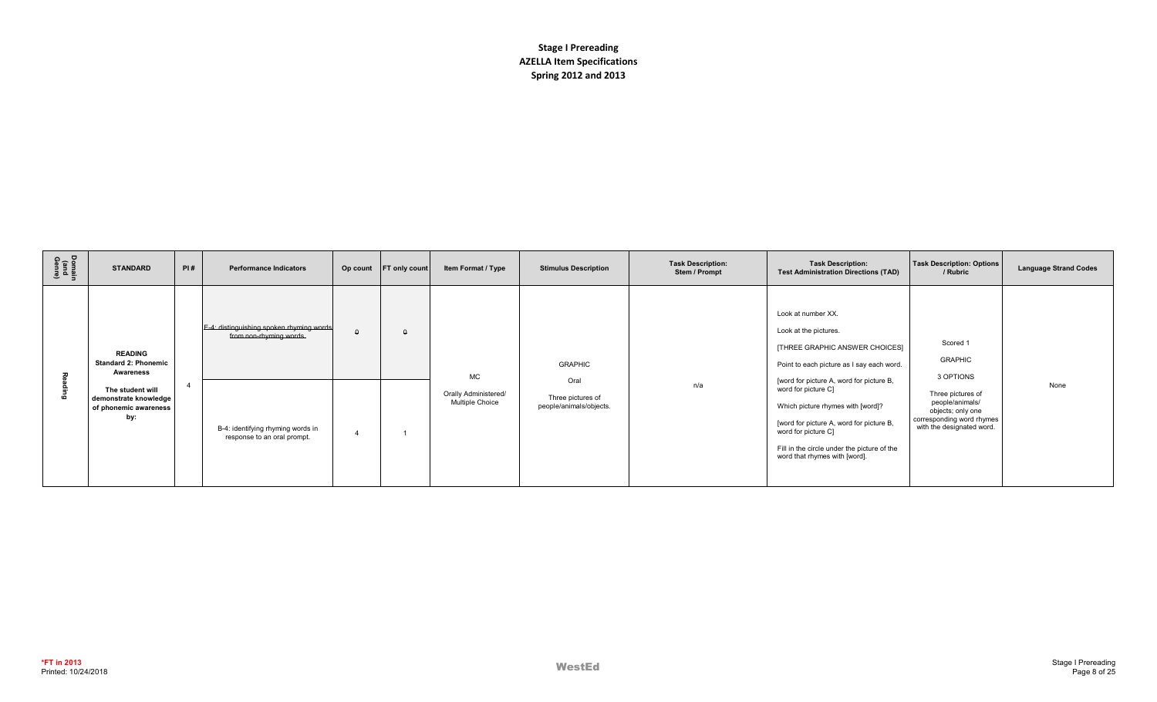| Domain<br>(and<br>Genre) | <b>STANDARD</b>                                                                                                                                | PI#            | <b>Performance Indicators</b>                                                                                                           | Op count | <b>FT only count</b> | Item Format / Type                                   | <b>Stimulus Description</b>                                            | <b>Task Description:</b><br>Stem / Prompt | <b>Task Description:</b><br><b>Test Administration Directions (TAD)</b>                                                                                                                                                                                                                                                                                                               | <b>Task Description: Options</b><br>/ Rubric                                                                                                                   | <b>Language Strand Codes</b> |
|--------------------------|------------------------------------------------------------------------------------------------------------------------------------------------|----------------|-----------------------------------------------------------------------------------------------------------------------------------------|----------|----------------------|------------------------------------------------------|------------------------------------------------------------------------|-------------------------------------------|---------------------------------------------------------------------------------------------------------------------------------------------------------------------------------------------------------------------------------------------------------------------------------------------------------------------------------------------------------------------------------------|----------------------------------------------------------------------------------------------------------------------------------------------------------------|------------------------------|
| юō                       | <b>READING</b><br><b>Standard 2: Phonemic</b><br><b>Awareness</b><br>The student will<br>demonstrate knowledge<br>of phonemic awareness<br>by: | $\overline{4}$ | E-4: distinguishing spoken rhyming words<br>from non-rhyming words.<br>B-4: identifying rhyming words in<br>response to an oral prompt. |          | $\Omega$             | <b>MC</b><br>Orally Administered/<br>Multiple Choice | <b>GRAPHIC</b><br>Oral<br>Three pictures of<br>people/animals/objects. | n/a                                       | Look at number XX.<br>Look at the pictures.<br>[THREE GRAPHIC ANSWER CHOICES]<br>Point to each picture as I say each word.<br>[word for picture A, word for picture B,<br>word for picture C]<br>Which picture rhymes with [word]?<br>[word for picture A, word for picture B,<br>word for picture C]<br>Fill in the circle under the picture of the<br>word that rhymes with [word]. | Scored 1<br><b>GRAPHIC</b><br>3 OPTIONS<br>Three pictures of<br>people/animals/<br>objects; only one<br>corresponding word rhymes<br>with the designated word. | None                         |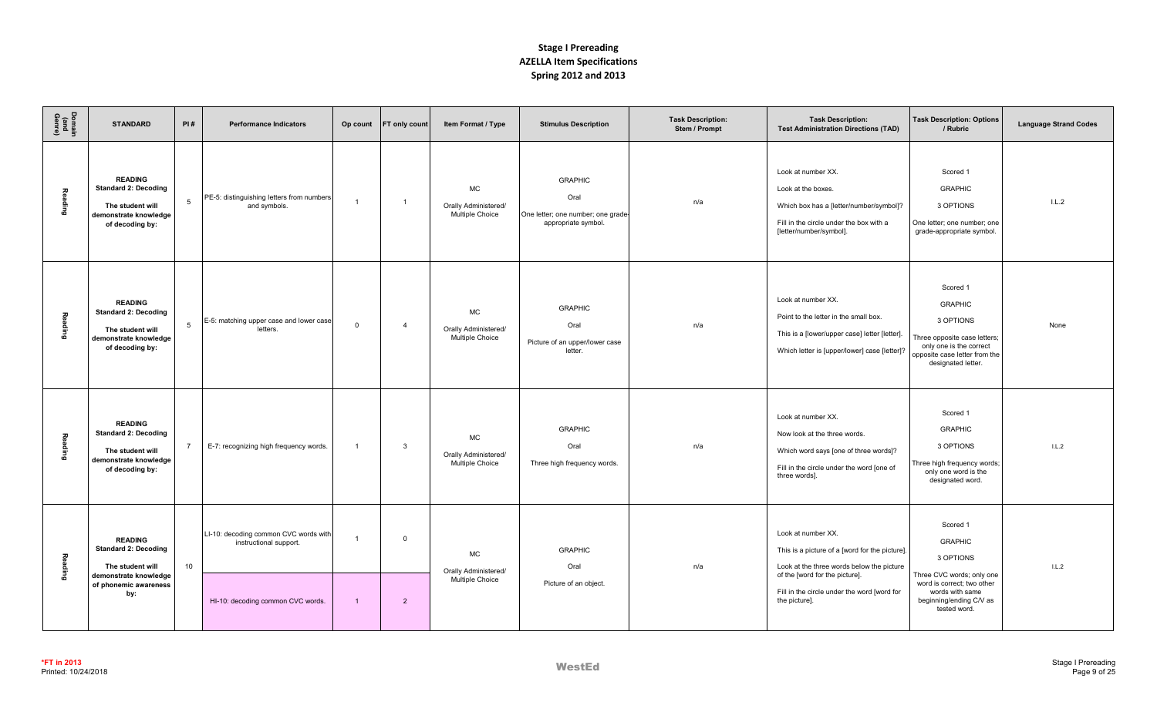| Domain<br>(and<br>Genre) | <b>STANDARD</b>                                                                                                            | PI#            | <b>Performance Indicators</b>                                                                        | Op count | FT only count                  | Item Format / Type                                   | <b>Stimulus Description</b>                                                         | <b>Task Description:</b><br>Stem / Prompt | <b>Task Description:</b><br><b>Test Administration Directions (TAD)</b>                                                                                                                                             | <b>Task Description: Options</b><br>/ Rubric                                                                                                                     | <b>Language Strand Codes</b> |
|--------------------------|----------------------------------------------------------------------------------------------------------------------------|----------------|------------------------------------------------------------------------------------------------------|----------|--------------------------------|------------------------------------------------------|-------------------------------------------------------------------------------------|-------------------------------------------|---------------------------------------------------------------------------------------------------------------------------------------------------------------------------------------------------------------------|------------------------------------------------------------------------------------------------------------------------------------------------------------------|------------------------------|
| Reading                  | <b>READING</b><br><b>Standard 2: Decoding</b><br>The student will<br>demonstrate knowledge<br>of decoding by:              | 5              | PE-5: distinguishing letters from numbers<br>and symbols.                                            |          | $\overline{1}$                 | <b>MC</b><br>Orally Administered/<br>Multiple Choice | <b>GRAPHIC</b><br>Oral<br>One letter; one number; one grade-<br>appropriate symbol. | n/a                                       | Look at number XX.<br>Look at the boxes.<br>Which box has a [letter/number/symbol]?<br>Fill in the circle under the box with a<br>[letter/number/symbol].                                                           | Scored 1<br><b>GRAPHIC</b><br>3 OPTIONS<br>One letter; one number; one<br>grade-appropriate symbol.                                                              | IL.2                         |
| <b>Reading</b>           | <b>READING</b><br><b>Standard 2: Decoding</b><br>The student will<br>demonstrate knowledge<br>of decoding by:              | 5              | E-5: matching upper case and lower case<br>letters.                                                  | $\Omega$ | $\overline{4}$                 | <b>MC</b><br>Orally Administered/<br>Multiple Choice | <b>GRAPHIC</b><br>Oral<br>Picture of an upper/lower case<br>letter.                 | n/a                                       | Look at number XX.<br>Point to the letter in the small box.<br>This is a [lower/upper case] letter [letter].<br>Which letter is [upper/lower] case [letter]?                                                        | Scored 1<br><b>GRAPHIC</b><br>3 OPTIONS<br>Three opposite case letters;<br>only one is the correct<br>opposite case letter from the<br>designated letter.        | None                         |
| Reading                  | <b>READING</b><br><b>Standard 2: Decoding</b><br>The student will<br>demonstrate knowledge<br>of decoding by:              | $\overline{7}$ | E-7: recognizing high frequency words.                                                               |          | 3                              | <b>MC</b><br>Orally Administered/<br>Multiple Choice | <b>GRAPHIC</b><br>Oral<br>Three high frequency words.                               | n/a                                       | Look at number XX.<br>Now look at the three words.<br>Which word says [one of three words]?<br>Fill in the circle under the word [one of<br>three words].                                                           | Scored 1<br><b>GRAPHIC</b><br>3 OPTIONS<br>Three high frequency words;<br>only one word is the<br>designated word.                                               | IL.2                         |
| Reading                  | <b>READING</b><br><b>Standard 2: Decoding</b><br>The student will<br>demonstrate knowledge<br>of phonemic awareness<br>by: | 10             | LI-10: decoding common CVC words with<br>instructional support.<br>HI-10: decoding common CVC words. |          | $\mathbf{0}$<br>$\overline{2}$ | <b>MC</b><br>Orally Administered/<br>Multiple Choice | <b>GRAPHIC</b><br>Oral<br>Picture of an object.                                     | n/a                                       | Look at number XX.<br>This is a picture of a [word for the picture].<br>Look at the three words below the picture<br>of the [word for the picture].<br>Fill in the circle under the word [word for<br>the picture]. | Scored 1<br><b>GRAPHIC</b><br>3 OPTIONS<br>Three CVC words; only one<br>word is correct; two other<br>words with same<br>beginning/ending C/V as<br>tested word. | IL.2                         |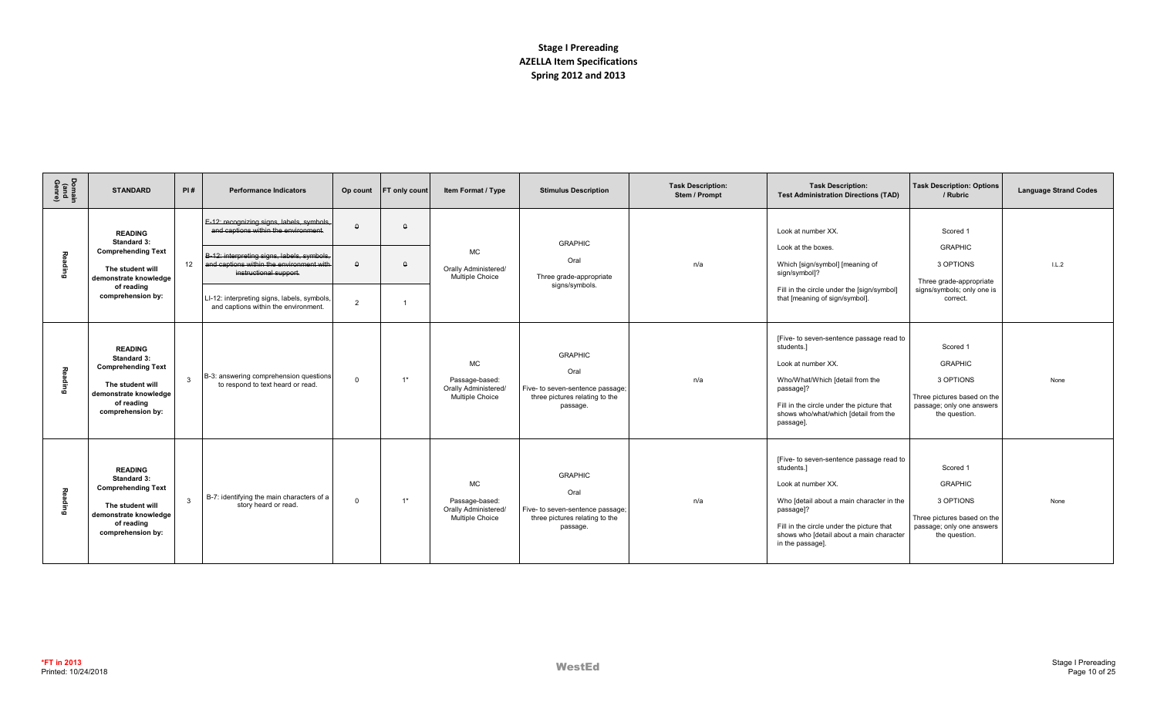| Domain<br>(and<br>Genre) | <b>STANDARD</b>                                                                                                                                   | PI#          | <b>Performance Indicators</b>                                                                                    | Op count       | <b>FT only count</b> | Item Format / Type                                                     | <b>Stimulus Description</b>                                                                              | <b>Task Description:</b><br>Stem / Prompt | <b>Task Description:</b><br><b>Test Administration Directions (TAD)</b>                                                                                                                                                                             | <b>Task Description: Options</b><br>/ Rubric                                                                         | <b>Language Strand Codes</b> |
|--------------------------|---------------------------------------------------------------------------------------------------------------------------------------------------|--------------|------------------------------------------------------------------------------------------------------------------|----------------|----------------------|------------------------------------------------------------------------|----------------------------------------------------------------------------------------------------------|-------------------------------------------|-----------------------------------------------------------------------------------------------------------------------------------------------------------------------------------------------------------------------------------------------------|----------------------------------------------------------------------------------------------------------------------|------------------------------|
|                          | <b>READING</b><br>Standard 3:                                                                                                                     |              | E-12: recognizing signs, labels, symbols,<br>and captions within the environment.                                |                | $\Omega$             |                                                                        | <b>GRAPHIC</b>                                                                                           |                                           | Look at number XX.                                                                                                                                                                                                                                  | Scored 1                                                                                                             |                              |
| Reading                  | <b>Comprehending Text</b><br>The student will<br>demonstrate knowledge                                                                            | 12           | B-12: interpreting signs, labels, symbols,<br>and captions within the environment with<br>instructional support. |                | $\theta$             | <b>MC</b><br>Orally Administered/<br>Multiple Choice                   | Oral<br>Three grade-appropriate                                                                          | n/a                                       | Look at the boxes.<br>Which [sign/symbol] [meaning of<br>sign/symbol]?                                                                                                                                                                              | <b>GRAPHIC</b><br>3 OPTIONS<br>Three grade-appropriate                                                               | IL.2                         |
|                          | of reading<br>comprehension by:                                                                                                                   |              | LI-12: interpreting signs, labels, symbols,<br>and captions within the environment.                              | $\overline{2}$ |                      |                                                                        | signs/symbols.                                                                                           |                                           | Fill in the circle under the [sign/symbol]<br>that [meaning of sign/symbol].                                                                                                                                                                        | signs/symbols; only one is<br>correct.                                                                               |                              |
| Reading                  | <b>READING</b><br><b>Standard 3:</b><br><b>Comprehending Text</b><br>The student will<br>demonstrate knowledge<br>of reading<br>comprehension by: | $\mathbf{3}$ | B-3: answering comprehension questions<br>to respond to text heard or read.                                      | $\Omega$       | $1*$                 | MC<br>Passage-based:<br>Orally Administered/<br><b>Multiple Choice</b> | <b>GRAPHIC</b><br>Oral<br>Five- to seven-sentence passage;<br>three pictures relating to the<br>passage. | n/a                                       | [Five- to seven-sentence passage read to<br>students.]<br>Look at number XX.<br>Who/What/Which [detail from the<br>passage]?<br>Fill in the circle under the picture that<br>shows who/what/which [detail from the<br>passage].                     | Scored 1<br><b>GRAPHIC</b><br>3 OPTIONS<br>Three pictures based on the<br>passage; only one answers<br>the question. | None                         |
| Reading                  | <b>READING</b><br><b>Standard 3:</b><br><b>Comprehending Text</b><br>The student will<br>demonstrate knowledge<br>of reading<br>comprehension by: | $\mathbf{3}$ | B-7: identifying the main characters of a<br>story heard or read.                                                | $\Omega$       | $1*$                 | <b>MC</b><br>Passage-based:<br>Orally Administered/<br>Multiple Choice | <b>GRAPHIC</b><br>Oral<br>Five- to seven-sentence passage;<br>three pictures relating to the<br>passage. | n/a                                       | [Five- to seven-sentence passage read to<br>students.1<br>Look at number XX.<br>Who [detail about a main character in the<br>passage]?<br>Fill in the circle under the picture that<br>shows who [detail about a main character<br>in the passage]. | Scored 1<br><b>GRAPHIC</b><br>3 OPTIONS<br>Three pictures based on the<br>passage; only one answers<br>the question. | None                         |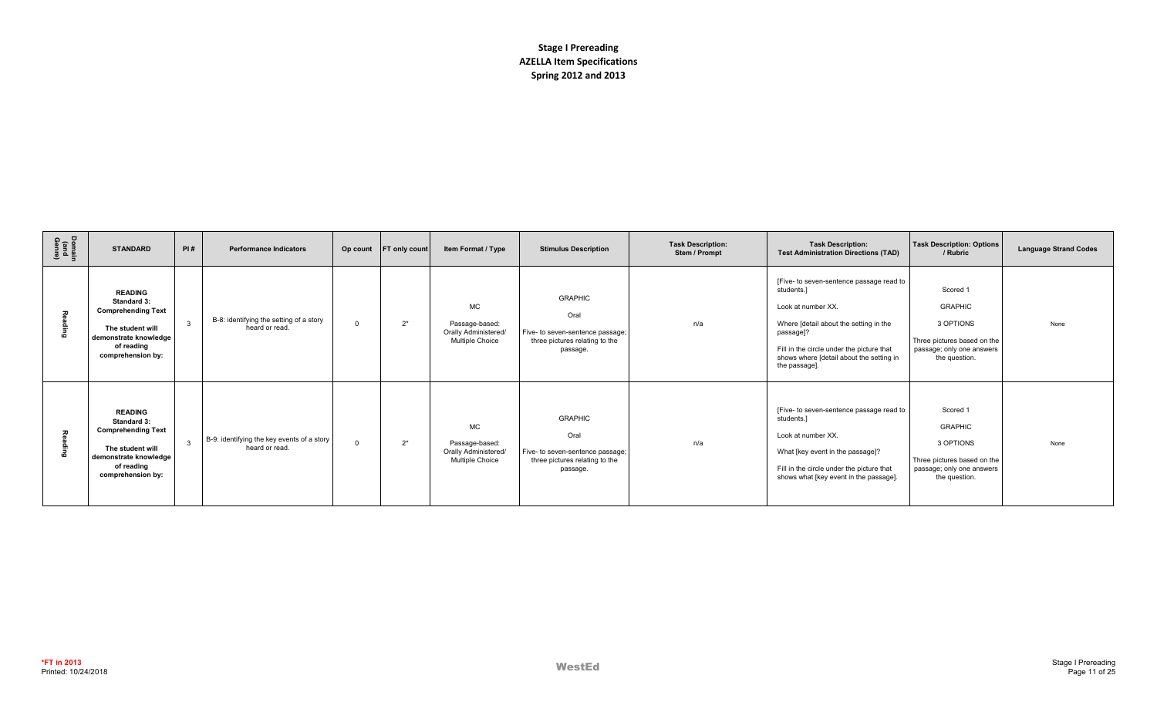| Domain<br>(and<br>Genre) | <b>STANDARD</b>                                                                                                                                   | PI#          | <b>Performance Indicators</b>                                | Op count | <b>FT only count</b> | Item Format / Type                                                            | <b>Stimulus Description</b>                                                                              | <b>Task Description:</b><br>Stem / Prompt | <b>Task Description:</b><br><b>Test Administration Directions (TAD)</b>                                                                                                                                                                       | <b>Task Description: Options</b><br>/ Rubric                                                                         | <b>Language Strand Codes</b> |
|--------------------------|---------------------------------------------------------------------------------------------------------------------------------------------------|--------------|--------------------------------------------------------------|----------|----------------------|-------------------------------------------------------------------------------|----------------------------------------------------------------------------------------------------------|-------------------------------------------|-----------------------------------------------------------------------------------------------------------------------------------------------------------------------------------------------------------------------------------------------|----------------------------------------------------------------------------------------------------------------------|------------------------------|
| 짖                        | <b>READING</b><br>Standard 3:<br><b>Comprehending Text</b><br>The student will<br>demonstrate knowledge<br>of reading<br>comprehension by:        | $\mathbf{3}$ | B-8: identifying the setting of a story<br>heard or read.    |          | $2^*$                | MC<br>Passage-based:<br>Orally Administered/<br><b>Multiple Choice</b>        | <b>GRAPHIC</b><br>Oral<br>Five- to seven-sentence passage;<br>three pictures relating to the<br>passage. | n/a                                       | [Five- to seven-sentence passage read to<br>students.]<br>Look at number XX.<br>Where [detail about the setting in the<br>passage]?<br>Fill in the circle under the picture that<br>shows where [detail about the setting in<br>the passage]. | Scored 1<br><b>GRAPHIC</b><br>3 OPTIONS<br>Three pictures based on the<br>passage; only one answers<br>the question. | None                         |
| 고<br>٩                   | <b>READING</b><br><b>Standard 3:</b><br><b>Comprehending Text</b><br>The student will<br>demonstrate knowledge<br>of reading<br>comprehension by: | $\mathbf{B}$ | B-9: identifying the key events of a story<br>heard or read. | $\Omega$ | $2^*$                | <b>MC</b><br>Passage-based:<br>Orally Administered/<br><b>Multiple Choice</b> | <b>GRAPHIC</b><br>Oral<br>Five- to seven-sentence passage;<br>three pictures relating to the<br>passage. | n/a                                       | [Five- to seven-sentence passage read to<br>students.<br>Look at number XX.<br>What [key event in the passage]?<br>Fill in the circle under the picture that<br>shows what [key event in the passage].                                        | Scored 1<br><b>GRAPHIC</b><br>3 OPTIONS<br>Three pictures based on the<br>passage; only one answers<br>the question. | None                         |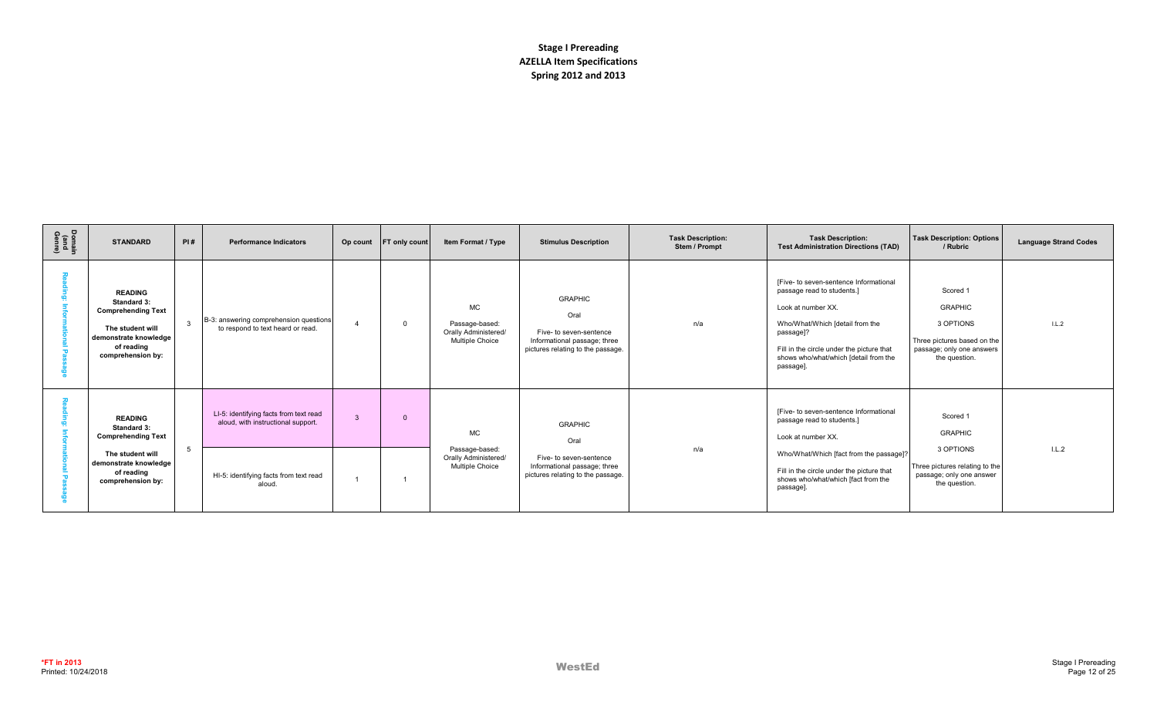| Domain<br>(and<br>Genre) | <b>STANDARD</b>                                                                                                                            | PI#          | <b>Performance Indicators</b>                                                |  | Op count FT only count | Item Format / Type                                                     | <b>Stimulus Description</b>                                                                                            | <b>Task Description:</b><br>Stem / Prompt | <b>Task Description:</b><br><b>Test Administration Directions (TAD)</b>                                                                                                                                                                      | <b>Task Description: Options</b><br>/ Rubric                                                                         | <b>Language Strand Codes</b> |
|--------------------------|--------------------------------------------------------------------------------------------------------------------------------------------|--------------|------------------------------------------------------------------------------|--|------------------------|------------------------------------------------------------------------|------------------------------------------------------------------------------------------------------------------------|-------------------------------------------|----------------------------------------------------------------------------------------------------------------------------------------------------------------------------------------------------------------------------------------------|----------------------------------------------------------------------------------------------------------------------|------------------------------|
|                          | <b>READING</b><br>Standard 3:<br><b>Comprehending Text</b><br>The student will<br>demonstrate knowledge<br>of reading<br>comprehension by: | $\mathbf{3}$ | B-3: answering comprehension questions<br>to respond to text heard or read.  |  | 0                      | <b>MC</b><br>Passage-based:<br>Orally Administered/<br>Multiple Choice | <b>GRAPHIC</b><br>Oral<br>Five- to seven-sentence<br>Informational passage; three<br>pictures relating to the passage. | n/a                                       | [Five- to seven-sentence Informational<br>passage read to students.]<br>Look at number XX.<br>Who/What/Which [detail from the<br>passage]?<br>Fill in the circle under the picture that<br>shows who/what/which [detail from the<br>passage] | Scored 1<br><b>GRAPHIC</b><br>3 OPTIONS<br>Three pictures based on the<br>passage; only one answers<br>the question. | 1.L.2                        |
|                          | <b>READING</b><br><b>Standard 3:</b><br><b>Comprehending Text</b><br>The student will<br>demonstrate knowledge<br>of reading               | -5           | LI-5: identifying facts from text read<br>aloud, with instructional support. |  | $\Omega$               | <b>MC</b><br>Passage-based:<br>Orally Administered/<br>Multiple Choice | <b>GRAPHIC</b><br>Oral<br>Five- to seven-sentence<br>Informational passage; three<br>pictures relating to the passage. | n/a                                       | [Five- to seven-sentence Informational<br>passage read to students.]<br>Look at number XX.<br>Who/What/Which [fact from the passage]?<br>Fill in the circle under the picture that                                                           | Scored 1<br><b>GRAPHIC</b><br>3 OPTIONS<br>Three pictures relating to the<br>passage; only one answer                | L.L.2                        |
|                          | comprehension by:                                                                                                                          |              | HI-5: identifying facts from text read<br>aloud.                             |  |                        |                                                                        | shows who/what/which [fact from the<br>passage]                                                                        | the question.                             |                                                                                                                                                                                                                                              |                                                                                                                      |                              |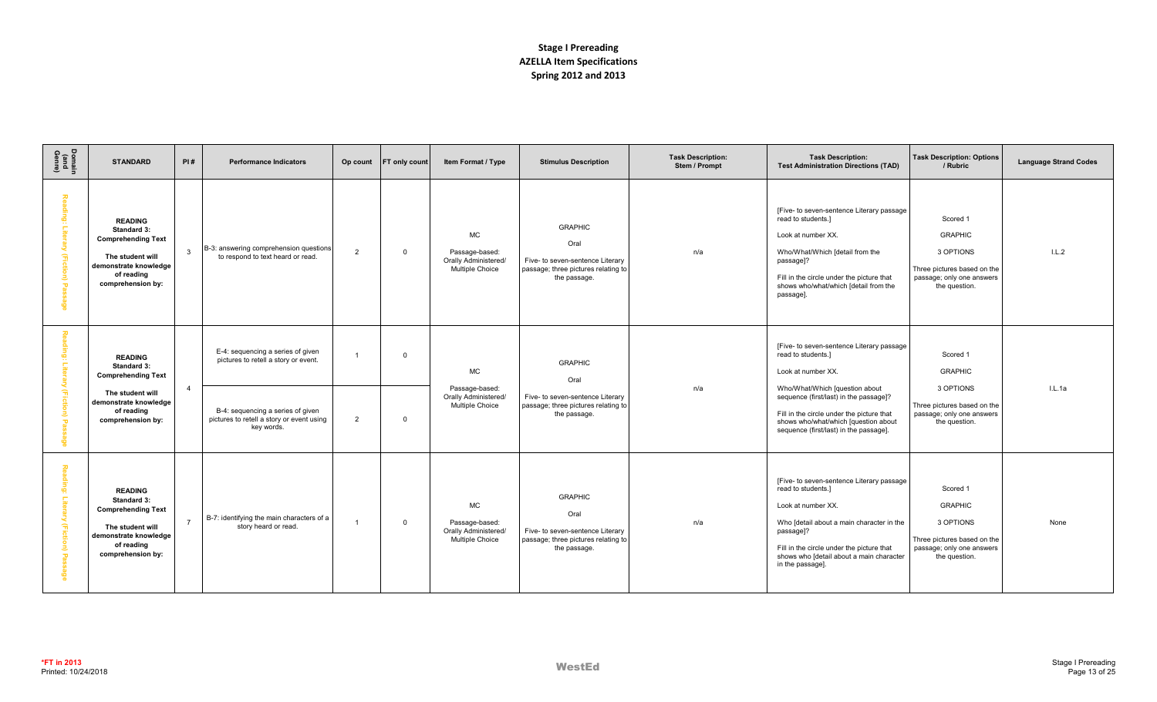| Domain<br>(and<br>Genre)                  | <b>STANDARD</b>                                                                                                                            | PI#            | <b>Performance Indicators</b>                                                                                  | Op count       | FT only count | Item Format / Type                                                     | <b>Stimulus Description</b>                                                                                       | <b>Task Description:</b><br>Stem / Prompt | <b>Task Description:</b><br><b>Test Administration Directions (TAD)</b>                                                                                                                                                                                      | <b>Task Description: Options</b><br>/ Rubric                                                                         | <b>Language Strand Codes</b> |
|-------------------------------------------|--------------------------------------------------------------------------------------------------------------------------------------------|----------------|----------------------------------------------------------------------------------------------------------------|----------------|---------------|------------------------------------------------------------------------|-------------------------------------------------------------------------------------------------------------------|-------------------------------------------|--------------------------------------------------------------------------------------------------------------------------------------------------------------------------------------------------------------------------------------------------------------|----------------------------------------------------------------------------------------------------------------------|------------------------------|
| 고<br>elua:<br>å<br>(Ficti<br>g<br>និ<br>õ | <b>READING</b><br>Standard 3:<br><b>Comprehending Text</b><br>The student will<br>demonstrate knowledge<br>of reading<br>comprehension by: | $\mathbf{3}$   | B-3: answering comprehension questions<br>to respond to text heard or read.                                    | 2              | $\mathbf{0}$  | MC<br>Passage-based:<br>Orally Administered/<br>Multiple Choice        | <b>GRAPHIC</b><br>Oral<br>Five- to seven-sentence Literary<br>passage; three pictures relating to<br>the passage. | n/a                                       | [Five- to seven-sentence Literary passage<br>read to students.]<br>Look at number XX.<br>Who/What/Which [detail from the<br>passage]?<br>Fill in the circle under the picture that<br>shows who/what/which [detail from the<br>passage].                     | Scored 1<br><b>GRAPHIC</b><br>3 OPTIONS<br>Three pictures based on the<br>passage; only one answers<br>the question. | L.L.2                        |
| ڥ<br>$\frac{1}{5}$<br>(Fictio             | <b>READING</b><br>Standard 3:<br><b>Comprehending Text</b><br>The student will<br>demonstrate knowledge<br>of reading                      | $\overline{4}$ | E-4: sequencing a series of given<br>pictures to retell a story or event.<br>B-4: sequencing a series of given |                | $\Omega$      | <b>MC</b><br>Passage-based:<br>Orally Administered/<br>Multiple Choice | <b>GRAPHIC</b><br>Oral<br>Five- to seven-sentence Literary<br>passage; three pictures relating to<br>the passage. | n/a                                       | [Five- to seven-sentence Literary passage<br>read to students.]<br>Look at number XX.<br>Who/What/Which [question about<br>sequence (first/last) in the passage]?<br>Fill in the circle under the picture that                                               | Scored 1<br><b>GRAPHIC</b><br>3 OPTIONS<br>Three pictures based on the<br>passage; only one answers                  | l.L.1a                       |
| $\mathbf{\overline{u}}$                   | comprehension by:                                                                                                                          |                | pictures to retell a story or event using<br>key words.                                                        | $\overline{2}$ | $\Omega$      |                                                                        |                                                                                                                   |                                           | shows who/what/which [question about<br>sequence (first/last) in the passage].                                                                                                                                                                               | the question.                                                                                                        |                              |
| 짛<br><b>Ging:</b><br>Literary (Fiction)   | <b>READING</b><br>Standard 3:<br><b>Comprehending Text</b><br>The student will<br>demonstrate knowledge<br>of reading<br>comprehension by: | $\overline{7}$ | B-7: identifying the main characters of a<br>story heard or read.                                              |                | $\mathbf 0$   | <b>MC</b><br>Passage-based:<br>Orally Administered/<br>Multiple Choice | <b>GRAPHIC</b><br>Oral<br>Five- to seven-sentence Literary<br>passage; three pictures relating to<br>the passage. | n/a                                       | [Five- to seven-sentence Literary passage<br>read to students.]<br>Look at number XX.<br>Who [detail about a main character in the<br>passage]?<br>Fill in the circle under the picture that<br>shows who [detail about a main character<br>in the passage]. | Scored 1<br><b>GRAPHIC</b><br>3 OPTIONS<br>Three pictures based on the<br>passage; only one answers<br>the question. | None                         |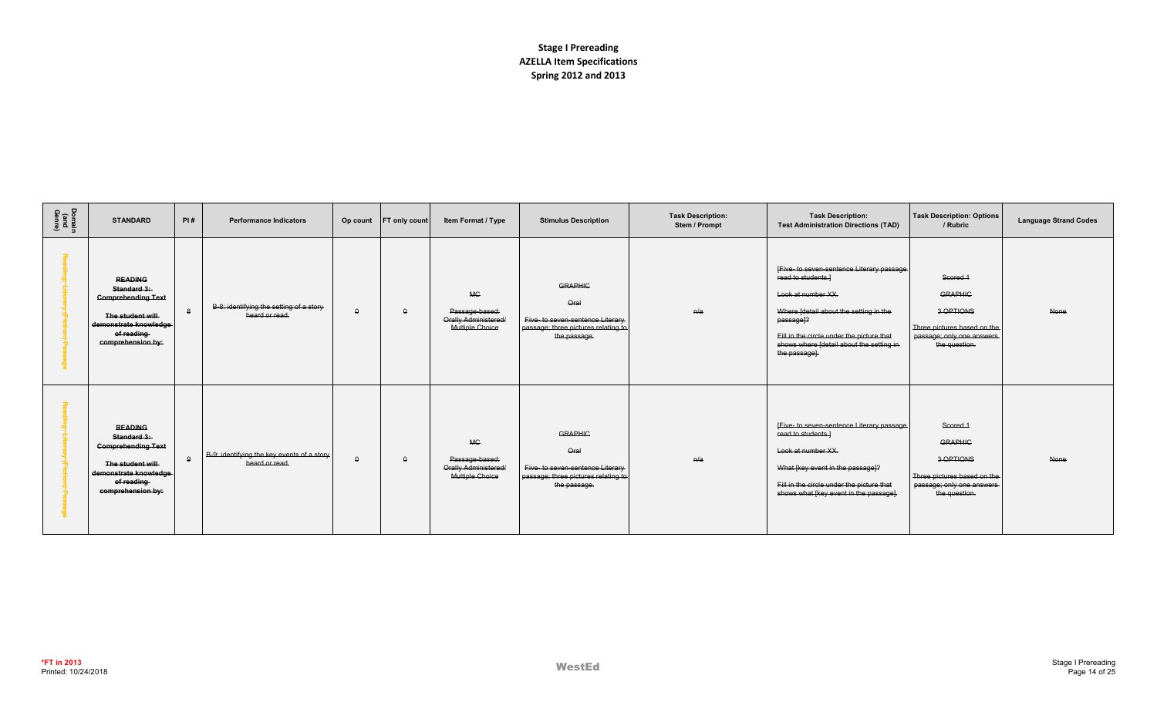| Domain<br>(and<br>Genre) | <b>STANDARD</b>                                                                                                                            | PI#          | <b>Performance Indicators</b>                                | Op count | <b>FT only count</b> | Item Format / Type                                                            | <b>Stimulus Description</b>                                                                                       | <b>Task Description:</b><br>Stem / Prompt | <b>Task Description:</b><br><b>Test Administration Directions (TAD)</b>                                                                                                                                                                                             | <b>Task Description: Options</b><br>/ Rubric                                                                         | <b>Language Strand Codes</b> |
|--------------------------|--------------------------------------------------------------------------------------------------------------------------------------------|--------------|--------------------------------------------------------------|----------|----------------------|-------------------------------------------------------------------------------|-------------------------------------------------------------------------------------------------------------------|-------------------------------------------|---------------------------------------------------------------------------------------------------------------------------------------------------------------------------------------------------------------------------------------------------------------------|----------------------------------------------------------------------------------------------------------------------|------------------------------|
|                          | <b>READING</b><br>Standard 3:<br><b>Comprehending Text</b><br>The student will<br>demonstrate knowledge<br>of reading<br>comprehension by: | $\mathbf{a}$ | B-8: identifying the setting of a story<br>heard or read.    |          | $\theta$             | <b>MG</b><br>Passage-based:<br>Orally Administered/<br><b>Multiple Choice</b> | <b>GRAPHIC</b><br>Oral<br>Five- to seven-sentence Literary<br>passage; three pictures relating to<br>the passage. | H/a                                       | IFive- to seven-sentence Literary passage<br>read to students.]<br>Look at number XX.<br>Where [detail about the setting in the<br>passage <sup>12</sup><br>Fill in the circle under the picture that<br>shows where [detail about the setting in-<br>the passage]. | Scored 1<br><b>GRAPHIC</b><br>3 OPTIONS<br>Three pictures based on the<br>passage; only one answers<br>the question. | None                         |
|                          | <b>READING</b><br>Standard 3:<br><b>Comprehending Text</b><br>The student will<br>demonstrate knowledge<br>of reading<br>comprehension by: | $\mathbf{9}$ | B-9: identifying the key events of a story<br>heard or read. | $\Omega$ | $\theta$             | <b>MC</b><br>Passage-based:<br>Orally Administered/<br>Multiple Choice        | <b>GRAPHIC</b><br>Qral<br>Five- to seven-sentence Literary<br>passage: three pictures relating to<br>the passage. | n/a                                       | [Five- to seven-sentence Literary passage<br>read to students.]<br>Look at number XX.<br>What [key event in the passage]?<br>Fill in the circle under the picture that<br>shows what [key event in the passage].                                                    | Scored 1<br><b>GRAPHIC</b><br>3 OPTIONS<br>Three pictures based on the<br>passage; only one answers<br>the question. | None                         |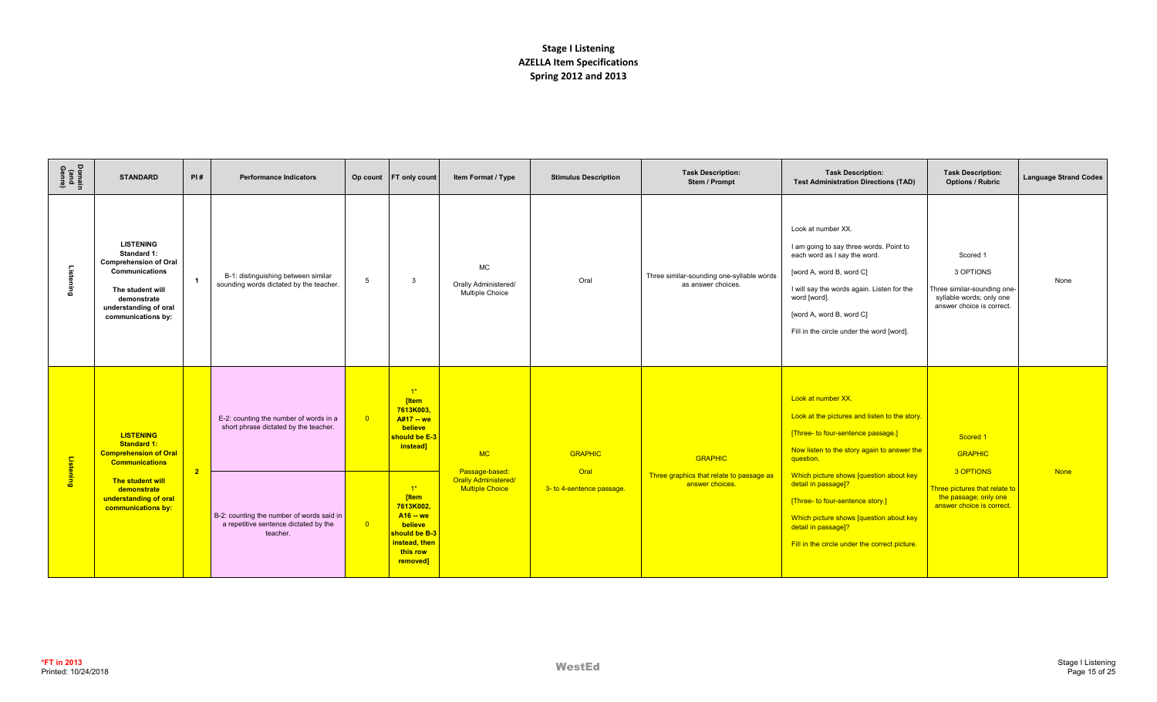| Domain<br>(and<br>Genre) | <b>STANDARD</b>                                                                                                                                                     | PI#            | <b>Performance Indicators</b>                                                                  |                         | Op count FT only count                                                                                         | Item Format / Type                                          | <b>Stimulus Description</b> | <b>Task Description:</b><br>Stem / Prompt                       | <b>Task Description:</b><br><b>Test Administration Directions (TAD)</b>                                                                                                                                                                                          | <b>Task Description:</b><br><b>Options / Rubric</b>                                                           | <b>Language Strand Codes</b> |
|--------------------------|---------------------------------------------------------------------------------------------------------------------------------------------------------------------|----------------|------------------------------------------------------------------------------------------------|-------------------------|----------------------------------------------------------------------------------------------------------------|-------------------------------------------------------------|-----------------------------|-----------------------------------------------------------------|------------------------------------------------------------------------------------------------------------------------------------------------------------------------------------------------------------------------------------------------------------------|---------------------------------------------------------------------------------------------------------------|------------------------------|
| istening                 | <b>LISTENING</b><br>Standard 1:<br><b>Comprehension of Oral</b><br>Communications<br>The student will<br>demonstrate<br>understanding of oral<br>communications by: | $\overline{1}$ | B-1: distinguishing between similar<br>sounding words dictated by the teacher.                 | $5\overline{5}$         | $\mathbf{3}$                                                                                                   | <b>MC</b><br>Orally Administered/<br><b>Multiple Choice</b> | Oral                        | Three similar-sounding one-syllable words<br>as answer choices. | Look at number XX.<br>I am going to say three words. Point to<br>each word as I say the word.<br>[word A, word B, word C]<br>I will say the words again. Listen for the<br>word [word].<br>[word A, word B, word C]<br>Fill in the circle under the word [word]. | Scored 1<br>3 OPTIONS<br>Three similar-sounding one-<br>syllable words; only one<br>answer choice is correct. | None                         |
| Listening                | <b>LISTENING</b><br><b>Standard 1:</b><br><b>Comprehension of Oral</b><br><b>Communications</b><br>The student will                                                 | $\overline{2}$ | E-2: counting the number of words in a<br>short phrase dictated by the teacher.                | $\overline{\mathbf{0}}$ | $1*$<br>[Item<br>7613K003,<br>A#17 -- we<br>believe<br>should be E-3<br>instead]                               | MC<br>Passage-based:<br><b>Orally Administered/</b>         | <b>GRAPHIC</b><br>Oral      | <b>GRAPHIC</b>                                                  | Look at number XX.<br>Look at the pictures and listen to the story.<br>[Three- to four-sentence passage.]<br>Now listen to the story again to answer the<br>question.                                                                                            | Scored 1<br><b>GRAPHIC</b><br>3 OPTIONS                                                                       | <b>None</b>                  |
|                          | demonstrate<br>understanding of oral<br>communications by:                                                                                                          |                | B-2: counting the number of words said in<br>a repetitive sentence dictated by the<br>teacher. | $\overline{0}$          | $1^*$<br>[Item<br>7613K002,<br>$A16 - we$<br>believe<br>should be B-3<br>instead, then<br>this row<br>removed] | <b>Multiple Choice</b>                                      | 3- to 4-sentence passage.   | Three graphics that relate to passage as<br>answer choices.     | Which picture shows [question about key<br>detail in passage]?<br>[Three- to four-sentence story.]<br>Which picture shows [question about key<br>detail in passage]?<br>Fill in the circle under the correct picture.                                            | Three pictures that relate to<br>the passage; only one<br>answer choice is correct.                           |                              |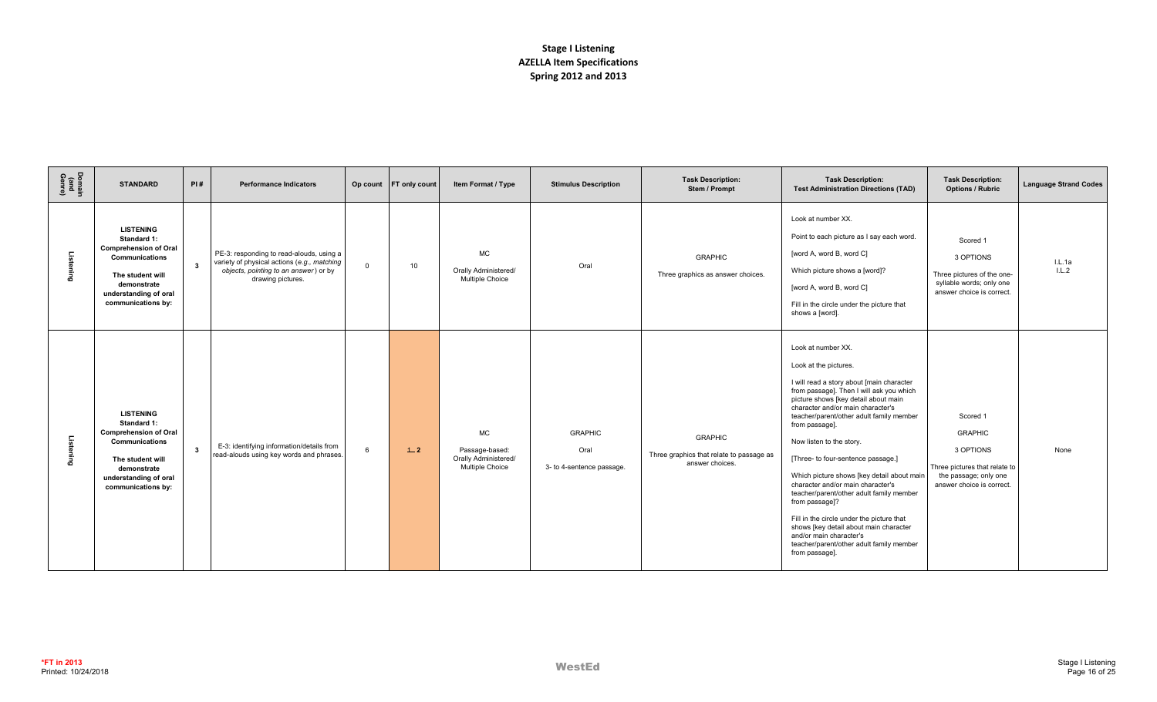| Domain<br>(and<br>Genre) | <b>STANDARD</b>                                                                                                                                                            | PI#          | <b>Performance Indicators</b>                                                                                                                         |              | Op count FT only count | Item Format / Type                                                            | <b>Stimulus Description</b>                         | <b>Task Description:</b><br>Stem / Prompt                                     | <b>Task Description:</b><br><b>Test Administration Directions (TAD)</b>                                                                                                                                                                                                                                                                                                                                                                                                                                                                                                                                                                                                            | <b>Task Description:</b><br><b>Options / Rubric</b>                                                                            | <b>Language Strand Codes</b> |
|--------------------------|----------------------------------------------------------------------------------------------------------------------------------------------------------------------------|--------------|-------------------------------------------------------------------------------------------------------------------------------------------------------|--------------|------------------------|-------------------------------------------------------------------------------|-----------------------------------------------------|-------------------------------------------------------------------------------|------------------------------------------------------------------------------------------------------------------------------------------------------------------------------------------------------------------------------------------------------------------------------------------------------------------------------------------------------------------------------------------------------------------------------------------------------------------------------------------------------------------------------------------------------------------------------------------------------------------------------------------------------------------------------------|--------------------------------------------------------------------------------------------------------------------------------|------------------------------|
| Listening                | <b>LISTENING</b><br>Standard 1:<br><b>Comprehension of Oral</b><br><b>Communications</b><br>The student will<br>demonstrate<br>understanding of oral<br>communications by: | $\mathbf{3}$ | PE-3: responding to read-alouds, using a<br>variety of physical actions (e.g., matching<br>objects, pointing to an answer) or by<br>drawing pictures. | $\mathbf{0}$ | 10                     | <b>MC</b><br>Orally Administered/<br>Multiple Choice                          | Oral                                                | <b>GRAPHIC</b><br>Three graphics as answer choices.                           | Look at number XX.<br>Point to each picture as I say each word.<br>[word A, word B, word C]<br>Which picture shows a [word]?<br>[word A, word B, word C]<br>Fill in the circle under the picture that<br>shows a [word].                                                                                                                                                                                                                                                                                                                                                                                                                                                           | Scored 1<br>3 OPTIONS<br>Three pictures of the one-<br>syllable words; only one<br>answer choice is correct.                   | I.L.1a<br>1.L.2              |
| Listening                | <b>LISTENING</b><br>Standard 1:<br><b>Comprehension of Oral</b><br>Communications<br>The student will<br>demonstrate<br>understanding of oral<br>communications by:        | $\mathbf{3}$ | E-3: identifying information/details from<br>read-alouds using key words and phrases.                                                                 | 6            | $+2$                   | <b>MC</b><br>Passage-based:<br>Orally Administered/<br><b>Multiple Choice</b> | <b>GRAPHIC</b><br>Oral<br>3- to 4-sentence passage. | <b>GRAPHIC</b><br>Three graphics that relate to passage as<br>answer choices. | Look at number XX.<br>Look at the pictures.<br>I will read a story about [main character<br>from passage]. Then I will ask you which<br>picture shows [key detail about main<br>character and/or main character's<br>teacher/parent/other adult family member<br>from passage].<br>Now listen to the story.<br>[Three- to four-sentence passage.]<br>Which picture shows [key detail about main<br>character and/or main character's<br>teacher/parent/other adult family member<br>from passage]?<br>Fill in the circle under the picture that<br>shows [key detail about main character<br>and/or main character's<br>teacher/parent/other adult family member<br>from passage]. | Scored 1<br><b>GRAPHIC</b><br>3 OPTIONS<br>Three pictures that relate to<br>the passage; only one<br>answer choice is correct. | None                         |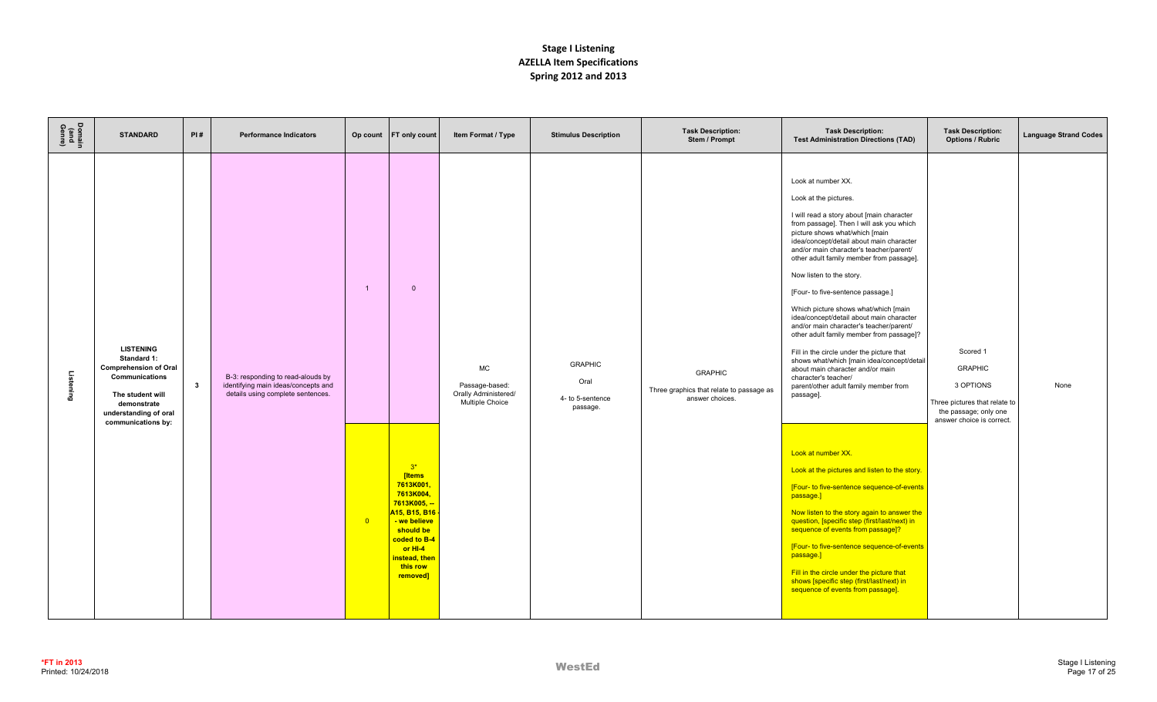| Domain<br>(and<br>Genre) | <b>STANDARD</b>                                                                                                                                                     | PI#          | <b>Performance Indicators</b>                                                                                 |                                           | Op count FT only count                                                                                                   | Item Format / Type                                                     | <b>Stimulus Description</b>                            | <b>Task Description:</b><br>Stem / Prompt                                     | <b>Task Description:</b><br><b>Test Administration Directions (TAD)</b>                                                                                                                                                                                                                                                                                                                                                                                                                                                                                                                                                                                                                                                                                                                                                                                                                                                                                                                                                                    | <b>Task Description:</b><br><b>Options / Rubric</b>                                                                            | <b>Language Strand Codes</b> |
|--------------------------|---------------------------------------------------------------------------------------------------------------------------------------------------------------------|--------------|---------------------------------------------------------------------------------------------------------------|-------------------------------------------|--------------------------------------------------------------------------------------------------------------------------|------------------------------------------------------------------------|--------------------------------------------------------|-------------------------------------------------------------------------------|--------------------------------------------------------------------------------------------------------------------------------------------------------------------------------------------------------------------------------------------------------------------------------------------------------------------------------------------------------------------------------------------------------------------------------------------------------------------------------------------------------------------------------------------------------------------------------------------------------------------------------------------------------------------------------------------------------------------------------------------------------------------------------------------------------------------------------------------------------------------------------------------------------------------------------------------------------------------------------------------------------------------------------------------|--------------------------------------------------------------------------------------------------------------------------------|------------------------------|
| Listening                | <b>LISTENING</b><br>Standard 1:<br><b>Comprehension of Oral</b><br>Communications<br>The student will<br>demonstrate<br>understanding of oral<br>communications by: | $\mathbf{3}$ | B-3: responding to read-alouds by<br>identifying main ideas/concepts and<br>details using complete sentences. | $\overline{1}$<br>$\overline{\mathbf{0}}$ | $\overline{0}$<br>$3*$<br>[Items<br>7613K001,<br>7613K004,<br>7613K005, --<br>A15, B15, B16<br>- we believe<br>should be | <b>MC</b><br>Passage-based:<br>Orally Administered/<br>Multiple Choice | <b>GRAPHIC</b><br>Oral<br>4- to 5-sentence<br>passage. | <b>GRAPHIC</b><br>Three graphics that relate to passage as<br>answer choices. | Look at number XX.<br>Look at the pictures.<br>I will read a story about [main character<br>from passage]. Then I will ask you which<br>picture shows what/which [main<br>idea/concept/detail about main character<br>and/or main character's teacher/parent/<br>other adult family member from passage].<br>Now listen to the story.<br>[Four- to five-sentence passage.]<br>Which picture shows what/which [main<br>idea/concept/detail about main character<br>and/or main character's teacher/parent/<br>other adult family member from passage]?<br>Fill in the circle under the picture that<br>shows what/which [main idea/concept/detail<br>about main character and/or main<br>character's teacher/<br>parent/other adult family member from<br>passage].<br>Look at number XX.<br>Look at the pictures and listen to the story.<br>[Four- to five-sentence sequence-of-events]<br>passage.]<br>Now listen to the story again to answer the<br>question, [specific step (first/last/next) in<br>sequence of events from passage]? | Scored 1<br><b>GRAPHIC</b><br>3 OPTIONS<br>Three pictures that relate to<br>the passage; only one<br>answer choice is correct. | None                         |
|                          |                                                                                                                                                                     |              |                                                                                                               |                                           | coded to B-4<br>or HI-4<br>instead, then<br>this row<br>removed]                                                         |                                                                        |                                                        |                                                                               | [Four- to five-sentence sequence-of-events<br>passage.]<br>Fill in the circle under the picture that<br>shows [specific step (first/last/next) in<br>sequence of events from passage].                                                                                                                                                                                                                                                                                                                                                                                                                                                                                                                                                                                                                                                                                                                                                                                                                                                     |                                                                                                                                |                              |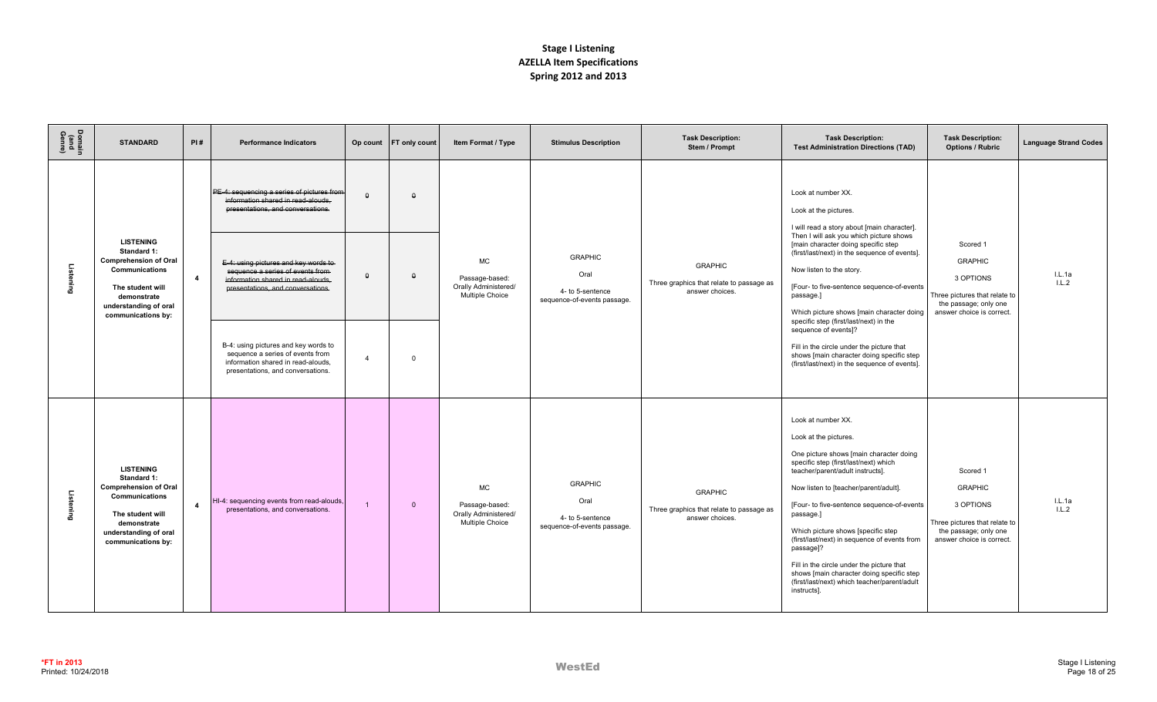| Domain<br>(and<br>Genre) | <b>STANDARD</b>                                                                                                                                                            | PI#                     | <b>Performance Indicators</b>                                                                                                                                                                                                                                                                                                                                                                                                        |                                        | Op count FT only count           | Item Format / Type                                                     | <b>Stimulus Description</b>                                               | <b>Task Description:</b><br>Stem / Prompt                                     | <b>Task Description:</b><br><b>Test Administration Directions (TAD)</b>                                                                                                                                                                                                                                                                                                                                                                                                                                                                                                        | <b>Task Description:</b><br><b>Options / Rubric</b>                                                                            | <b>Language Strand Codes</b> |
|--------------------------|----------------------------------------------------------------------------------------------------------------------------------------------------------------------------|-------------------------|--------------------------------------------------------------------------------------------------------------------------------------------------------------------------------------------------------------------------------------------------------------------------------------------------------------------------------------------------------------------------------------------------------------------------------------|----------------------------------------|----------------------------------|------------------------------------------------------------------------|---------------------------------------------------------------------------|-------------------------------------------------------------------------------|--------------------------------------------------------------------------------------------------------------------------------------------------------------------------------------------------------------------------------------------------------------------------------------------------------------------------------------------------------------------------------------------------------------------------------------------------------------------------------------------------------------------------------------------------------------------------------|--------------------------------------------------------------------------------------------------------------------------------|------------------------------|
| Listening                | <b>LISTENING</b><br>Standard 1:<br><b>Comprehension of Oral</b><br><b>Communications</b><br>The student will<br>demonstrate<br>understanding of oral<br>communications by: | $\overline{4}$          | PE-4: sequencing a series of pictures from<br>information shared in read-alouds.<br>presentations, and conversations.<br>E-4: using pictures and key words to<br>sequence a series of events from-<br>information shared in read-alouds.<br>presentations, and conversations.<br>B-4: using pictures and key words to<br>sequence a series of events from<br>information shared in read-alouds,<br>presentations, and conversations. | $\theta$<br>$\Omega$<br>$\overline{a}$ | $\theta$<br>$\theta$<br>$\Omega$ | <b>MC</b><br>Passage-based:<br>Orally Administered/<br>Multiple Choice | <b>GRAPHIC</b><br>Oral<br>4- to 5-sentence<br>sequence-of-events passage. | <b>GRAPHIC</b><br>Three graphics that relate to passage as<br>answer choices. | Look at number XX.<br>Look at the pictures.<br>I will read a story about [main character].<br>Then I will ask you which picture shows<br>[main character doing specific step<br>(first/last/next) in the sequence of events].<br>Now listen to the story.<br>[Four- to five-sentence sequence-of-events<br>passage.]<br>Which picture shows [main character doing<br>specific step (first/last/next) in the<br>sequence of events]?<br>Fill in the circle under the picture that<br>shows [main character doing specific step<br>(first/last/next) in the sequence of events]. | Scored 1<br><b>GRAPHIC</b><br>3 OPTIONS<br>Three pictures that relate to<br>the passage; only one<br>answer choice is correct. | I.L.1a<br>1.L.2              |
| Listening                | <b>LISTENING</b><br>Standard 1:<br><b>Comprehension of Oral</b><br>Communications<br>The student will<br>demonstrate<br>understanding of oral<br>communications by:        | $\overline{\mathbf{4}}$ | HI-4: sequencing events from read-alouds,<br>presentations, and conversations.                                                                                                                                                                                                                                                                                                                                                       |                                        | $\overline{0}$                   | <b>MC</b><br>Passage-based:<br>Orally Administered/<br>Multiple Choice | <b>GRAPHIC</b><br>Oral<br>4- to 5-sentence<br>sequence-of-events passage. | <b>GRAPHIC</b><br>Three graphics that relate to passage as<br>answer choices. | Look at number XX.<br>Look at the pictures.<br>One picture shows [main character doing<br>specific step (first/last/next) which<br>teacher/parent/adult instructs].<br>Now listen to [teacher/parent/adult].<br>[Four- to five-sentence sequence-of-events<br>passage.]<br>Which picture shows [specific step<br>(first/last/next) in sequence of events from<br>passage]?<br>Fill in the circle under the picture that<br>shows [main character doing specific step<br>(first/last/next) which teacher/parent/adult<br>instructs].                                            | Scored 1<br><b>GRAPHIC</b><br>3 OPTIONS<br>Three pictures that relate to<br>the passage; only one<br>answer choice is correct. | L.L.1a<br>1.L.2              |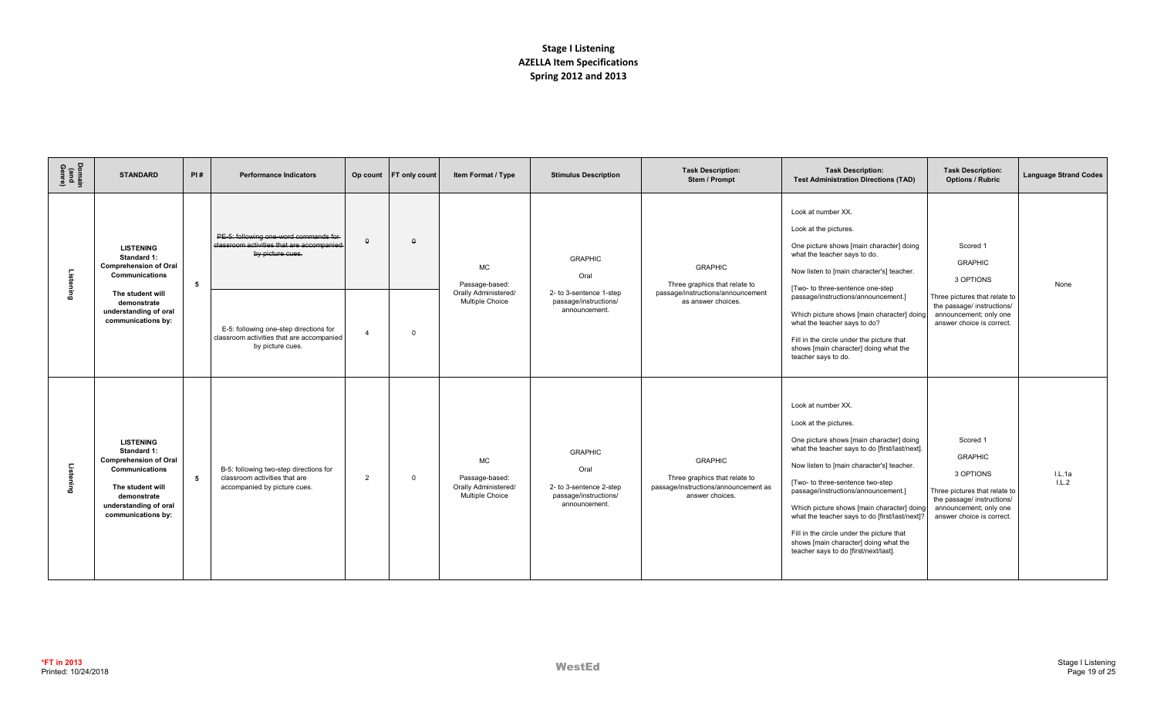| Domain<br>(and<br>Genre) | <b>STANDARD</b>                                                                                                                                                            | PI#             | <b>Performance Indicators</b>                                                                           |                | Op count FT only count | Item Format / Type                                                            | <b>Stimulus Description</b>                                                                 | <b>Task Description:</b><br>Stem / Prompt                                                                  | <b>Task Description:</b><br><b>Test Administration Directions (TAD)</b>                                                                                                                                                                                                                                                                                                                                                                                                                          | <b>Task Description:</b><br><b>Options / Rubric</b>                                                                                                           | <b>Language Strand Codes</b> |
|--------------------------|----------------------------------------------------------------------------------------------------------------------------------------------------------------------------|-----------------|---------------------------------------------------------------------------------------------------------|----------------|------------------------|-------------------------------------------------------------------------------|---------------------------------------------------------------------------------------------|------------------------------------------------------------------------------------------------------------|--------------------------------------------------------------------------------------------------------------------------------------------------------------------------------------------------------------------------------------------------------------------------------------------------------------------------------------------------------------------------------------------------------------------------------------------------------------------------------------------------|---------------------------------------------------------------------------------------------------------------------------------------------------------------|------------------------------|
| Listening                | <b>LISTENING</b><br>Standard 1:<br><b>Comprehension of Oral</b><br><b>Communications</b><br>The student will                                                               | 5               | PE-5: following one-word commands for<br>classroom activities that are accompanied<br>by picture cues.  | $\theta$       | $\Omega$               | <b>MC</b><br>Passage-based:<br>Orally Administered/                           | <b>GRAPHIC</b><br>Oral<br>2- to 3-sentence 1-step                                           | <b>GRAPHIC</b><br>Three graphics that relate to<br>passage/instructions/announcement                       | Look at number XX.<br>Look at the pictures.<br>One picture shows [main character] doing<br>what the teacher says to do.<br>Now listen to [main character's] teacher.<br>[Two- to three-sentence one-step<br>passage/instructions/announcement.]                                                                                                                                                                                                                                                  | Scored 1<br><b>GRAPHIC</b><br>3 OPTIONS<br>Three pictures that relate to                                                                                      | None                         |
|                          | demonstrate<br>understanding of oral<br>communications by:                                                                                                                 |                 | E-5: following one-step directions for<br>classroom activities that are accompanied<br>by picture cues. | $\overline{4}$ | $\Omega$               | Multiple Choice                                                               | passage/instructions/<br>announcement.                                                      | as answer choices.                                                                                         | Which picture shows [main character] doing<br>what the teacher says to do?<br>Fill in the circle under the picture that<br>shows [main character] doing what the<br>teacher says to do.                                                                                                                                                                                                                                                                                                          | the passage/ instructions/<br>announcement; only one<br>answer choice is correct.                                                                             |                              |
| Listening                | <b>LISTENING</b><br>Standard 1:<br><b>Comprehension of Oral</b><br><b>Communications</b><br>The student will<br>demonstrate<br>understanding of oral<br>communications by: | $5\phantom{.0}$ | B-5: following two-step directions for<br>classroom activities that are<br>accompanied by picture cues. | $\overline{2}$ | $\overline{0}$         | <b>MC</b><br>Passage-based:<br>Orally Administered/<br><b>Multiple Choice</b> | <b>GRAPHIC</b><br>Oral<br>2- to 3-sentence 2-step<br>passage/instructions/<br>announcement. | <b>GRAPHIC</b><br>Three graphics that relate to<br>passage/instructions/announcement as<br>answer choices. | Look at number XX.<br>Look at the pictures.<br>One picture shows [main character] doing<br>what the teacher says to do [first/last/next].<br>Now listen to [main character's] teacher.<br>[Two- to three-sentence two-step<br>passage/instructions/announcement.]<br>Which picture shows [main character] doing<br>what the teacher says to do [first/last/next]?<br>Fill in the circle under the picture that<br>shows [main character] doing what the<br>teacher says to do [first/next/last]. | Scored 1<br><b>GRAPHIC</b><br>3 OPTIONS<br>Three pictures that relate to<br>the passage/ instructions/<br>announcement; only one<br>answer choice is correct. | IL.1a<br>L.L.2               |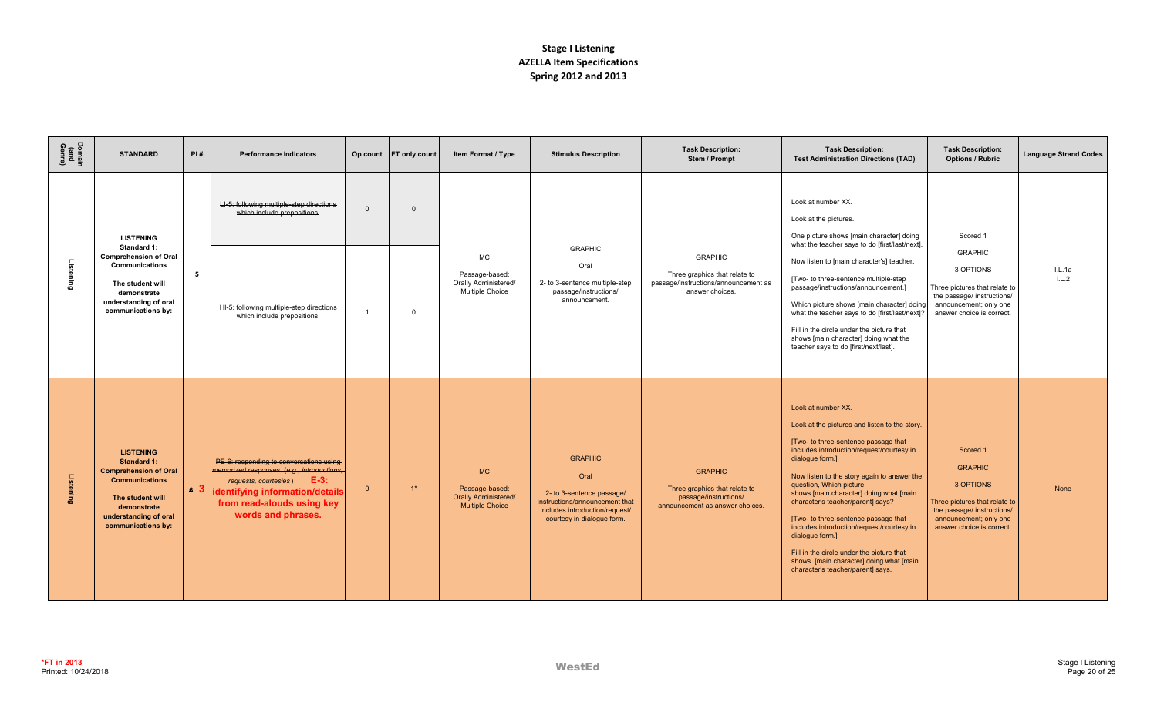| Domain<br>(and<br>Genre) | <b>STANDARD</b>                                                                                                                                                                   | PI# | <b>Performance Indicators</b>                                                                                                                                                                                       |              | Op count FT only count | Item Format / Type                                                                   | <b>Stimulus Description</b>                                                                                                                           | <b>Task Description:</b><br>Stem / Prompt                                                                   | <b>Task Description:</b><br><b>Test Administration Directions (TAD)</b>                                                                                                                                                                                                                                                                                                                                                                                                                                                                                                    | <b>Task Description:</b><br><b>Options / Rubric</b>                                                                                                           | <b>Language Strand Codes</b> |
|--------------------------|-----------------------------------------------------------------------------------------------------------------------------------------------------------------------------------|-----|---------------------------------------------------------------------------------------------------------------------------------------------------------------------------------------------------------------------|--------------|------------------------|--------------------------------------------------------------------------------------|-------------------------------------------------------------------------------------------------------------------------------------------------------|-------------------------------------------------------------------------------------------------------------|----------------------------------------------------------------------------------------------------------------------------------------------------------------------------------------------------------------------------------------------------------------------------------------------------------------------------------------------------------------------------------------------------------------------------------------------------------------------------------------------------------------------------------------------------------------------------|---------------------------------------------------------------------------------------------------------------------------------------------------------------|------------------------------|
| -istening                | <b>LISTENING</b><br>Standard 1:<br><b>Comprehension of Oral</b><br>Communications<br>The student will<br>demonstrate<br>understanding of oral<br>communications by:               | 5   | LI-5: following multiple-step directions<br>which include prepositions.<br>HI-5: following multiple-step directions<br>which include prepositions.                                                                  | $\theta$     | $\theta$<br>$\Omega$   | <b>MC</b><br>Passage-based:<br>Orally Administered/<br><b>Multiple Choice</b>        | <b>GRAPHIC</b><br>Oral<br>2- to 3-sentence multiple-step<br>passage/instructions/<br>announcement.                                                    | <b>GRAPHIC</b><br>Three graphics that relate to<br>passage/instructions/announcement as<br>answer choices.  | Look at number XX.<br>Look at the pictures.<br>One picture shows [main character] doing<br>what the teacher says to do [first/last/next].<br>Now listen to [main character's] teacher.<br>[Two- to three-sentence multiple-step<br>passage/instructions/announcement.]<br>Which picture shows [main character] doing<br>what the teacher says to do [first/last/next]?<br>Fill in the circle under the picture that<br>shows [main character] doing what the<br>teacher says to do [first/next/last].                                                                      | Scored 1<br><b>GRAPHIC</b><br>3 OPTIONS<br>Three pictures that relate to<br>the passage/ instructions/<br>announcement; only one<br>answer choice is correct. | I.L.1a<br>1.L.2              |
| Listening                | <b>LISTENING</b><br><b>Standard 1:</b><br><b>Comprehension of Oral</b><br><b>Communications</b><br>The student will<br>demonstrate<br>understanding of oral<br>communications by: |     | PE-6: responding to conversations using<br>memorized responses. (e.g., introductions,<br>$E-3:$<br>requests, courtesies)<br>6 3 identifying information/details<br>from read-alouds using key<br>words and phrases. | $\mathbf{0}$ | $1^*$                  | <b>MC</b><br>Passage-based:<br><b>Orally Administered/</b><br><b>Multiple Choice</b> | <b>GRAPHIC</b><br>Oral<br>2- to 3-sentence passage/<br>instructions/announcement that<br>includes introduction/request/<br>courtesy in dialogue form. | <b>GRAPHIC</b><br>Three graphics that relate to<br>passage/instructions/<br>announcement as answer choices. | Look at number XX.<br>Look at the pictures and listen to the story.<br>[Two- to three-sentence passage that<br>includes introduction/request/courtesy in<br>dialogue form.]<br>Now listen to the story again to answer the<br>question, Which picture<br>shows [main character] doing what [main<br>character's teacher/parent] says?<br>[Two- to three-sentence passage that<br>includes introduction/request/courtesy in<br>dialogue form.]<br>Fill in the circle under the picture that<br>shows [main character] doing what [main<br>character's teacher/parent] says. | Scored 1<br><b>GRAPHIC</b><br>3 OPTIONS<br>Three pictures that relate to<br>the passage/ instructions/<br>announcement; only one<br>answer choice is correct. | None                         |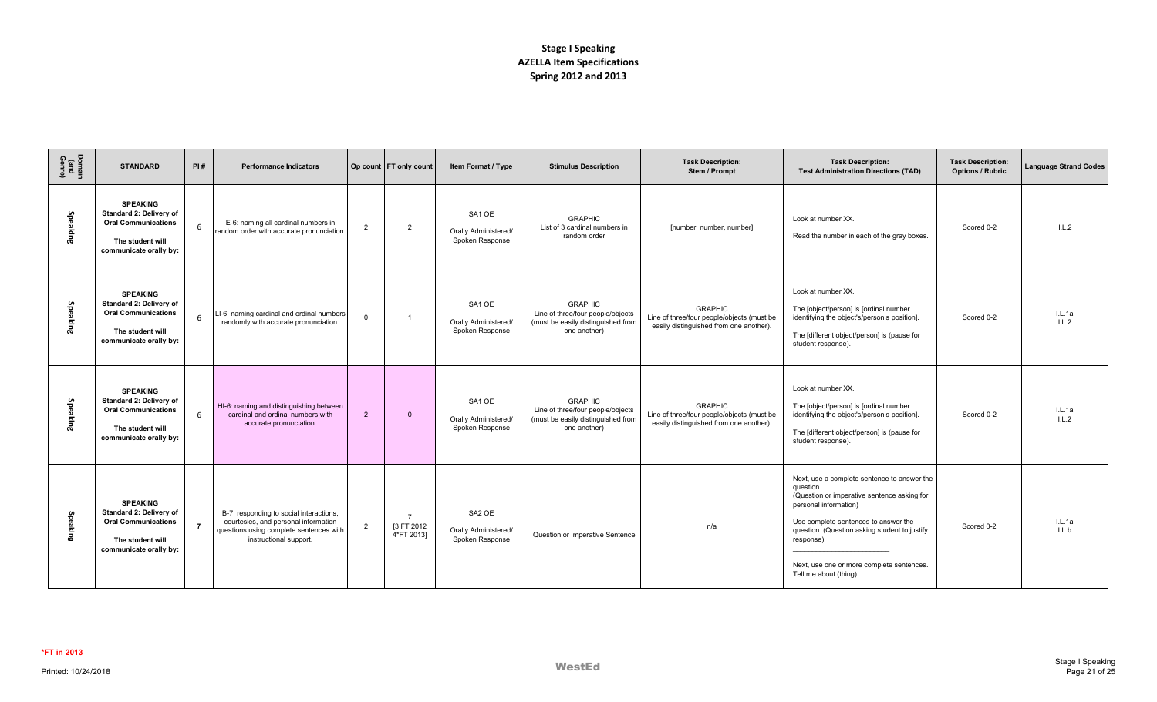| Domain<br>(and<br>Genre) | <b>STANDARD</b>                                                                                                        | PI#            | <b>Performance Indicators</b>                                                                                                                        |                | Op count FT only count                     | Item Format / Type                                            | <b>Stimulus Description</b>                                                                               | <b>Task Description:</b><br>Stem / Prompt                                                               | <b>Task Description:</b><br><b>Test Administration Directions (TAD)</b>                                                                                                                                                                                                                                       | <b>Task Description:</b><br><b>Options / Rubric</b> | <b>Language Strand Codes</b> |
|--------------------------|------------------------------------------------------------------------------------------------------------------------|----------------|------------------------------------------------------------------------------------------------------------------------------------------------------|----------------|--------------------------------------------|---------------------------------------------------------------|-----------------------------------------------------------------------------------------------------------|---------------------------------------------------------------------------------------------------------|---------------------------------------------------------------------------------------------------------------------------------------------------------------------------------------------------------------------------------------------------------------------------------------------------------------|-----------------------------------------------------|------------------------------|
| Speaking                 | <b>SPEAKING</b><br>Standard 2: Delivery of<br><b>Oral Communications</b><br>The student will<br>communicate orally by: | 6              | E-6: naming all cardinal numbers in<br>random order with accurate pronunciation.                                                                     | $\overline{2}$ | $\overline{2}$                             | SA <sub>1</sub> OE<br>Orally Administered/<br>Spoken Response | <b>GRAPHIC</b><br>List of 3 cardinal numbers in<br>random order                                           | [number, number, number]                                                                                | Look at number XX.<br>Read the number in each of the gray boxes.                                                                                                                                                                                                                                              | Scored 0-2                                          | IL.2                         |
| Speaking                 | <b>SPEAKING</b><br>Standard 2: Delivery of<br><b>Oral Communications</b><br>The student will<br>communicate orally by: | 6              | LI-6: naming cardinal and ordinal numbers<br>randomly with accurate pronunciation.                                                                   | $\overline{0}$ |                                            | SA <sub>1</sub> OE<br>Orally Administered/<br>Spoken Response | <b>GRAPHIC</b><br>Line of three/four people/objects<br>(must be easily distinguished from<br>one another) | <b>GRAPHIC</b><br>Line of three/four people/objects (must be<br>easily distinguished from one another). | Look at number XX.<br>The [object/person] is [ordinal number<br>identifying the object's/person's position].<br>The [different object/person] is (pause for<br>student response).                                                                                                                             | Scored 0-2                                          | IL.1a<br>1.L.2               |
| Speaking                 | <b>SPEAKING</b><br>Standard 2: Delivery of<br><b>Oral Communications</b><br>The student will<br>communicate orally by: | 6              | HI-6: naming and distinguishing between<br>cardinal and ordinal numbers with<br>accurate pronunciation.                                              | $\overline{2}$ | $\overline{0}$                             | SA <sub>1</sub> OE<br>Orally Administered/<br>Spoken Response | <b>GRAPHIC</b><br>Line of three/four people/objects<br>(must be easily distinguished from<br>one another) | <b>GRAPHIC</b><br>Line of three/four people/objects (must be<br>easily distinguished from one another). | Look at number XX.<br>The [object/person] is [ordinal number<br>identifying the object's/person's position].<br>The [different object/person] is (pause for<br>student response).                                                                                                                             | Scored 0-2                                          | IL.1a<br>L.L.2               |
| Speaking                 | <b>SPEAKING</b><br>Standard 2: Delivery of<br><b>Oral Communications</b><br>The student will<br>communicate orally by: | $\overline{7}$ | B-7: responding to social interactions,<br>courtesies, and personal information<br>questions using complete sentences with<br>instructional support. | $\overline{2}$ | $\overline{z}$<br>[3 FT 2012<br>4*FT 2013] | SA <sub>2</sub> OE<br>Orally Administered/<br>Spoken Response | Question or Imperative Sentence                                                                           | n/a                                                                                                     | Next, use a complete sentence to answer the<br>question.<br>(Question or imperative sentence asking for<br>personal information)<br>Use complete sentences to answer the<br>question. (Question asking student to justify<br>response)<br>Next, use one or more complete sentences.<br>Tell me about (thing). | Scored 0-2                                          | IL.1a<br>L L b               |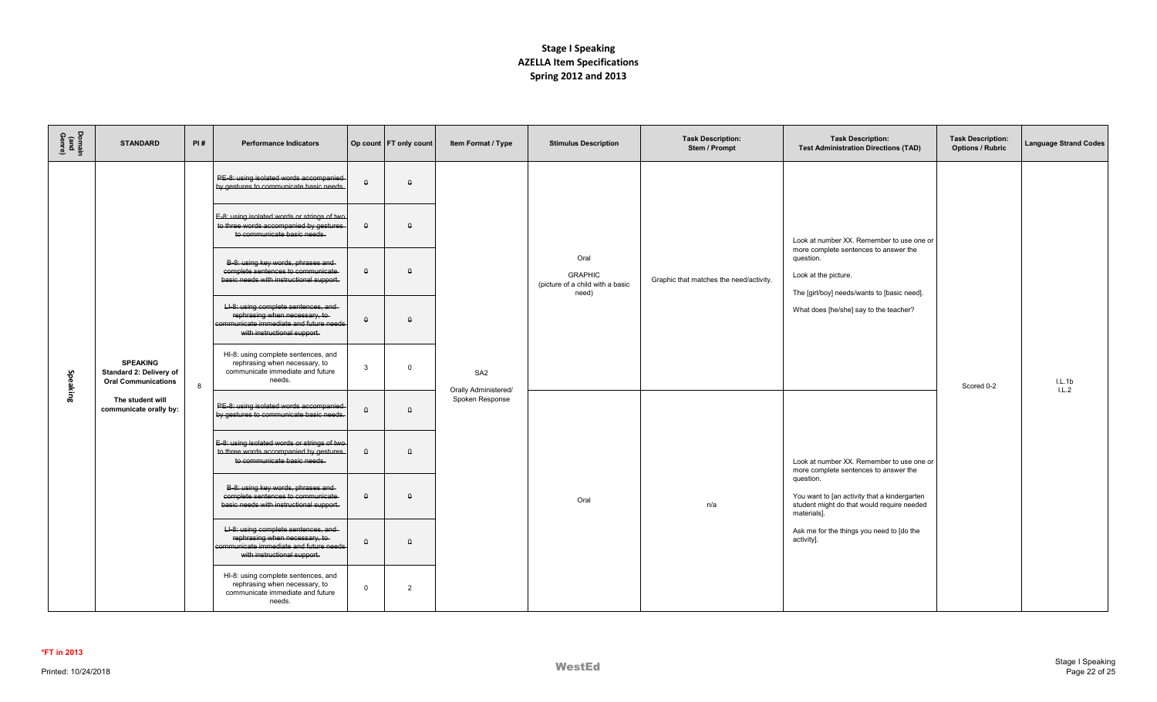| Domain<br>(and<br>Genre) | <b>STANDARD</b>                                                          | PI# | <b>Performance Indicators</b>                                                                                                                   |                | Op count   FT only count | Item Format / Type                                         | <b>Stimulus Description</b>                                         | <b>Task Description:</b><br>Stem / Prompt | <b>Task Description:</b><br><b>Test Administration Directions (TAD)</b>                                                   | <b>Task Description:</b><br><b>Options / Rubric</b> | <b>Language Strand Codes</b> |
|--------------------------|--------------------------------------------------------------------------|-----|-------------------------------------------------------------------------------------------------------------------------------------------------|----------------|--------------------------|------------------------------------------------------------|---------------------------------------------------------------------|-------------------------------------------|---------------------------------------------------------------------------------------------------------------------------|-----------------------------------------------------|------------------------------|
|                          |                                                                          |     | PE-8: using isolated words accompanied<br>by gestures to communicate basic needs.                                                               | $\theta$       | $\theta$                 |                                                            |                                                                     |                                           |                                                                                                                           |                                                     |                              |
|                          |                                                                          |     | E-8: using isolated words or strings of two<br>to three words accompanied by gestures<br>to communicate basic needs.                            | $\theta$       | $\theta$                 |                                                            |                                                                     |                                           | Look at number XX. Remember to use one or                                                                                 |                                                     |                              |
|                          |                                                                          |     | B-8: using key words, phrases and<br>complete sentences to communicate<br>basic needs with instructional support.                               | $\theta$       | $\Omega$                 | SA <sub>2</sub><br>Orally Administered/<br>Spoken Response | Oral<br><b>GRAPHIC</b><br>(picture of a child with a basic<br>need) | Graphic that matches the need/activity.   | more complete sentences to answer the<br>question.<br>Look at the picture.<br>The [girl/boy] needs/wants to [basic need]. |                                                     |                              |
| Speaking                 |                                                                          |     | LI-8: using complete sentences, and<br>rephrasing when necessary, to-<br>communicate immediate and future needs<br>with instructional support.  | $\theta$       | $\Omega$                 |                                                            |                                                                     |                                           | What does [he/she] say to the teacher?                                                                                    |                                                     |                              |
|                          | <b>SPEAKING</b><br>Standard 2: Delivery of<br><b>Oral Communications</b> | 8   | HI-8: using complete sentences, and<br>rephrasing when necessary, to<br>communicate immediate and future<br>needs.                              | $\overline{3}$ | $\mathbf{0}$             |                                                            |                                                                     |                                           |                                                                                                                           | Scored 0-2                                          | IL.1b<br>L.L.2               |
|                          | The student will<br>communicate orally by:                               |     | PE-8: using isolated words accompanied<br>by gestures to communicate basic needs.                                                               | $\theta$       | $\theta$                 |                                                            |                                                                     |                                           |                                                                                                                           |                                                     |                              |
|                          |                                                                          |     | E-8: using isolated words or strings of two<br>to three words accompanied by gestures<br>to communicate basic needs.                            | $\theta$       | $\Omega$                 |                                                            |                                                                     |                                           | Look at number XX. Remember to use one or<br>more complete sentences to answer the                                        |                                                     |                              |
|                          |                                                                          |     | B-8: using key words, phrases and<br>complete sentences to communicate<br>basic needs with instructional support.                               | $\theta$       | $\theta$                 |                                                            | Oral                                                                | n/a                                       | question.<br>You want to [an activity that a kindergarten<br>student might do that would require needed<br>materials].    |                                                     |                              |
|                          |                                                                          |     | LI-8: using complete sentences, and-<br>rephrasing when necessary, to-<br>communicate immediate and future needs<br>with instructional support. | $\theta$       | $\theta$                 |                                                            |                                                                     |                                           | Ask me for the things you need to [do the<br>activity].                                                                   |                                                     |                              |
|                          |                                                                          |     | HI-8: using complete sentences, and<br>rephrasing when necessary, to<br>communicate immediate and future<br>needs.                              | $\overline{0}$ | 2                        |                                                            |                                                                     |                                           |                                                                                                                           |                                                     |                              |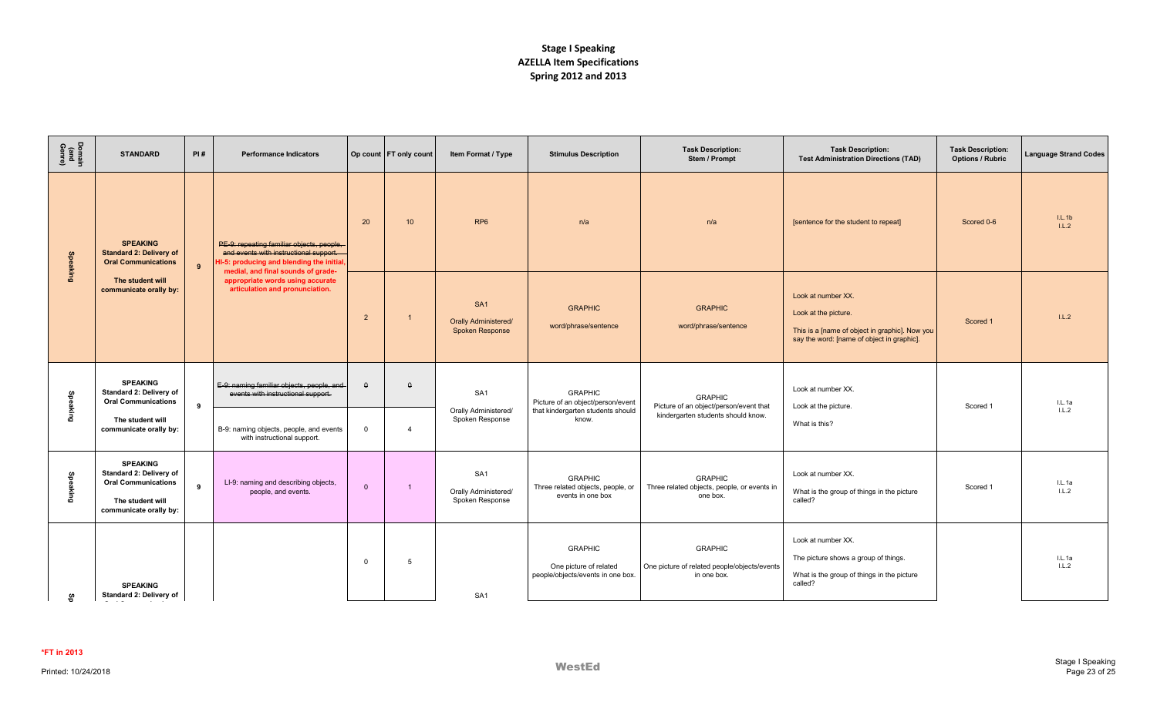| Domain<br>(and<br>Genre) | <b>STANDARD</b>                                                                                                        | PI#            | <b>Performance Indicators</b>                                                                                                                                          |                | Op count   FT only count | Item Format / Type                                                       | <b>Stimulus Description</b>                                                              | <b>Task Description:</b><br>Stem / Prompt                                     | <b>Task Description:</b><br><b>Test Administration Directions (TAD)</b>                                                                    | <b>Task Description:</b><br><b>Options / Rubric</b> | <b>Language Strand Codes</b> |
|--------------------------|------------------------------------------------------------------------------------------------------------------------|----------------|------------------------------------------------------------------------------------------------------------------------------------------------------------------------|----------------|--------------------------|--------------------------------------------------------------------------|------------------------------------------------------------------------------------------|-------------------------------------------------------------------------------|--------------------------------------------------------------------------------------------------------------------------------------------|-----------------------------------------------------|------------------------------|
| <b>Speaking</b>          | <b>SPEAKING</b><br><b>Standard 2: Delivery of</b><br><b>Oral Communications</b>                                        | $\overline{9}$ | PE-9: repeating familiar objects, people,<br>and events with instructional support.<br>HI-5: producing and blending the initial,<br>medial, and final sounds of grade- | 20             | 10 <sup>°</sup>          | RP <sub>6</sub>                                                          | n/a                                                                                      | n/a                                                                           | [sentence for the student to repeat]                                                                                                       | Scored 0-6                                          | IL.1b<br>L.L.2               |
|                          | The student will<br>communicate orally by:                                                                             |                | appropriate words using accurate<br>articulation and pronunciation.                                                                                                    | $\overline{2}$ |                          | SA <sub>1</sub><br><b>Orally Administered/</b><br><b>Spoken Response</b> | <b>GRAPHIC</b><br>word/phrase/sentence                                                   | <b>GRAPHIC</b><br>word/phrase/sentence                                        | Look at number XX.<br>Look at the picture.<br>This is a [name of object in graphic]. Now you<br>say the word: [name of object in graphic]. | Scored 1                                            | 1.L.2                        |
| Speaking                 | <b>SPEAKING</b><br>Standard 2: Delivery of<br><b>Oral Communications</b><br>9                                          |                | E-9: naming familiar objects, people, and<br>events with instructional support.                                                                                        | $\theta$       | $\theta$                 | SA <sub>1</sub><br>Orally Administered/                                  | <b>GRAPHIC</b><br>Picture of an object/person/event<br>that kindergarten students should | <b>GRAPHIC</b><br>Picture of an object/person/event that                      | Look at number XX.<br>Look at the picture.                                                                                                 | Scored 1                                            | I.L.1a<br>1.L.2              |
|                          | The student will<br>communicate orally by:                                                                             |                | B-9: naming objects, people, and events<br>with instructional support.                                                                                                 | $\overline{0}$ | $\overline{4}$           | Spoken Response                                                          | know.                                                                                    | kindergarten students should know.                                            | What is this?                                                                                                                              |                                                     |                              |
| Speaking                 | <b>SPEAKING</b><br>Standard 2: Delivery of<br><b>Oral Communications</b><br>The student will<br>communicate orally by: | $\overline{9}$ | LI-9: naming and describing objects,<br>people, and events.                                                                                                            | $\mathbf{0}$   | $\overline{1}$           | SA <sub>1</sub><br>Orally Administered/<br>Spoken Response               | <b>GRAPHIC</b><br>Three related objects, people, or<br>events in one box                 | <b>GRAPHIC</b><br>Three related objects, people, or events in<br>one box.     | Look at number XX.<br>What is the group of things in the picture<br>called?                                                                | Scored 1                                            | L.L.1a<br>1.L.2              |
| မ္မ                      | <b>SPEAKING</b><br>Standard 2: Delivery of                                                                             |                |                                                                                                                                                                        | $\Omega$       | 5                        | SA <sub>1</sub>                                                          | <b>GRAPHIC</b><br>One picture of related<br>people/objects/events in one box.            | <b>GRAPHIC</b><br>One picture of related people/objects/events<br>in one box. | Look at number XX.<br>The picture shows a group of things.<br>What is the group of things in the picture<br>called?                        |                                                     | I.L.1a<br>1.L.2              |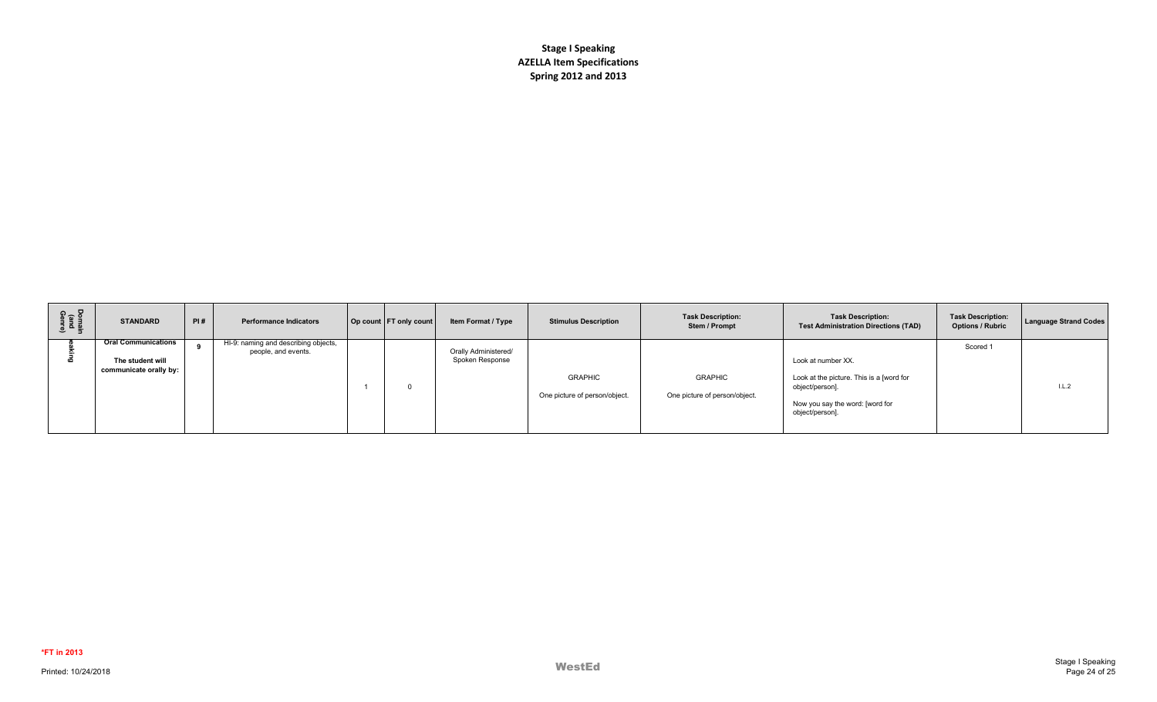| Domain<br>(and<br>Genre) | <b>STANDARD</b>                                                          | PI# | <b>Performance Indicators</b>                               | Op count FT only count | Item Format / Type                      | <b>Stimulus Description</b>                     | <b>Task Description:</b><br>Stem / Prompt       | <b>Task Description:</b><br><b>Test Administration Directions (TAD)</b>                                                                 | <b>Task Description:</b><br><b>Options / Rubric</b> | <b>Language Strand Codes</b> |
|--------------------------|--------------------------------------------------------------------------|-----|-------------------------------------------------------------|------------------------|-----------------------------------------|-------------------------------------------------|-------------------------------------------------|-----------------------------------------------------------------------------------------------------------------------------------------|-----------------------------------------------------|------------------------------|
|                          | <b>Oral Communications</b><br>The student will<br>communicate orally by: |     | HI-9: naming and describing objects,<br>people, and events. |                        | Orally Administered/<br>Spoken Response | <b>GRAPHIC</b><br>One picture of person/object. | <b>GRAPHIC</b><br>One picture of person/object. | Look at number XX.<br>Look at the picture. This is a [word for<br>object/person].<br>Now you say the word: [word for<br>object/person]. | Scored 1                                            | 1.L.2                        |